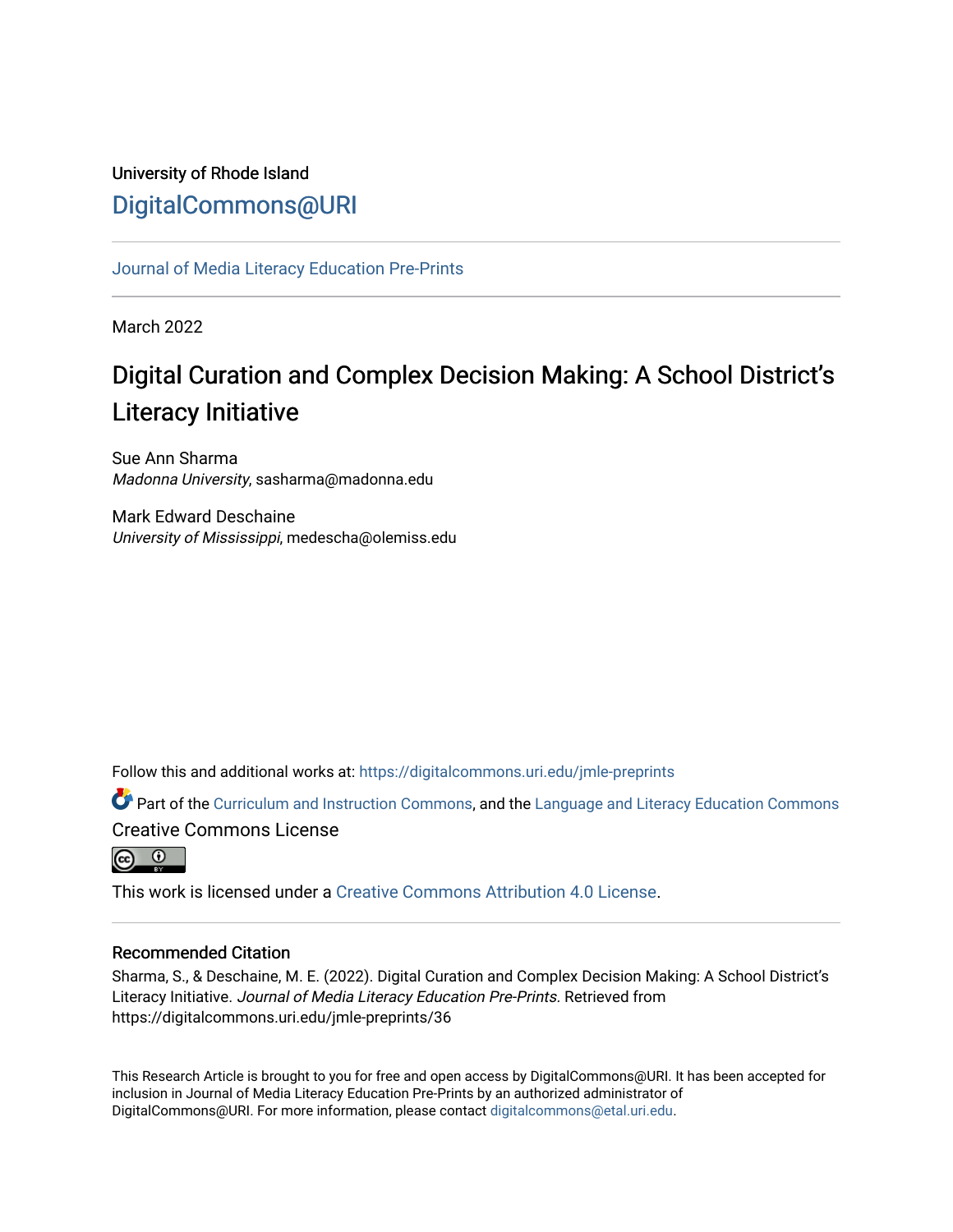# University of Rhode Island [DigitalCommons@URI](https://digitalcommons.uri.edu/)

[Journal of Media Literacy Education Pre-Prints](https://digitalcommons.uri.edu/jmle-preprints)

March 2022

# Digital Curation and Complex Decision Making: A School District's Literacy Initiative

Sue Ann Sharma Madonna University, sasharma@madonna.edu

Mark Edward Deschaine University of Mississippi, medescha@olemiss.edu

Follow this and additional works at: [https://digitalcommons.uri.edu/jmle-preprints](https://digitalcommons.uri.edu/jmle-preprints?utm_source=digitalcommons.uri.edu%2Fjmle-preprints%2F36&utm_medium=PDF&utm_campaign=PDFCoverPages) 

Part of the [Curriculum and Instruction Commons,](http://network.bepress.com/hgg/discipline/786?utm_source=digitalcommons.uri.edu%2Fjmle-preprints%2F36&utm_medium=PDF&utm_campaign=PDFCoverPages) and the Language and Literacy Education Commons Creative Commons License



This work is licensed under a [Creative Commons Attribution 4.0 License](https://creativecommons.org/licenses/by/4.0/).

# Recommended Citation

Sharma, S., & Deschaine, M. E. (2022). Digital Curation and Complex Decision Making: A School District's Literacy Initiative. Journal of Media Literacy Education Pre-Prints. Retrieved from https://digitalcommons.uri.edu/jmle-preprints/36

This Research Article is brought to you for free and open access by DigitalCommons@URI. It has been accepted for inclusion in Journal of Media Literacy Education Pre-Prints by an authorized administrator of DigitalCommons@URI. For more information, please contact [digitalcommons@etal.uri.edu.](mailto:digitalcommons@etal.uri.edu)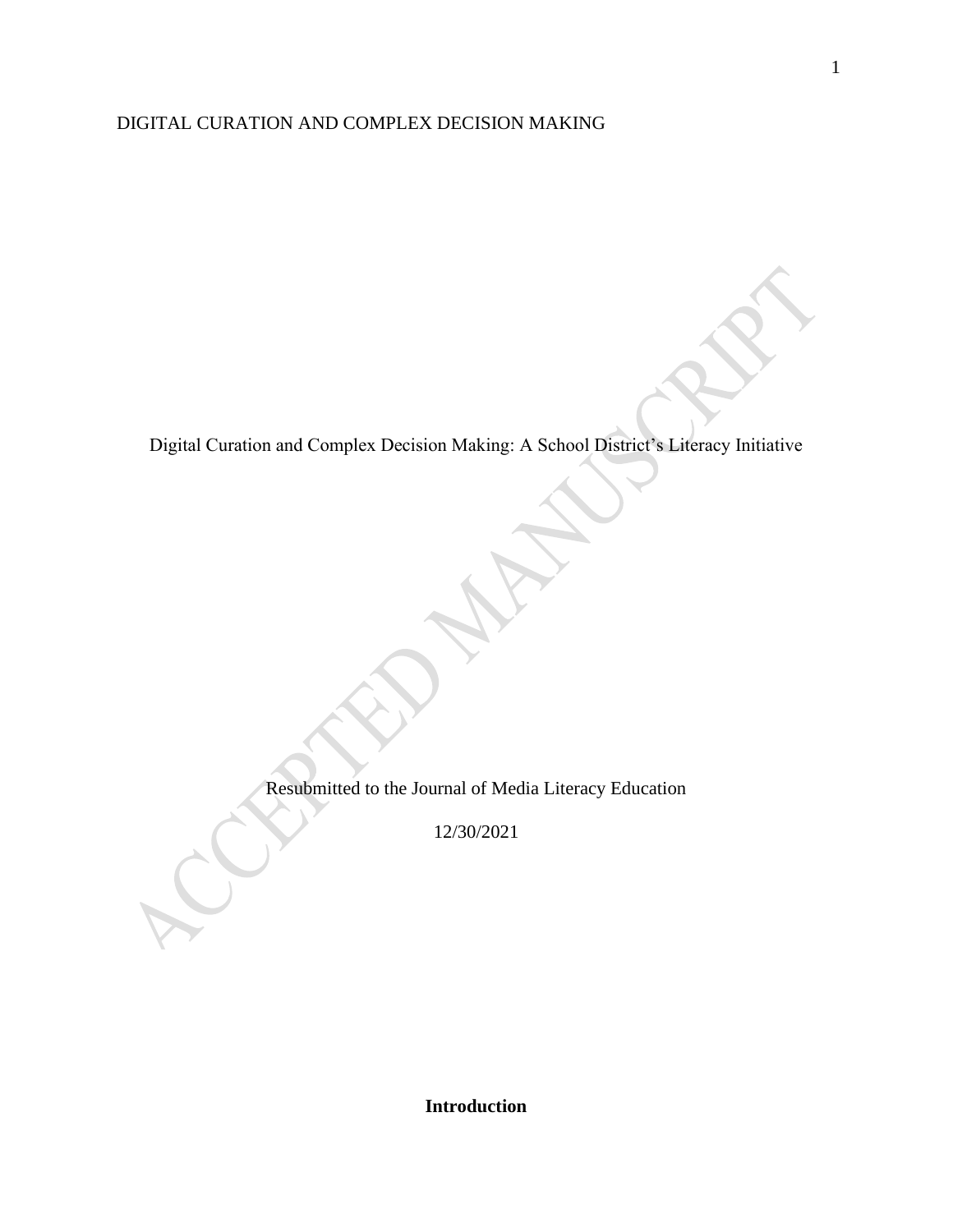# DIGITAL CURATION AND COMPLEX DECISION MAKING

Digital Curation and Complex Decision Making: A School District's Literacy Initiative

Resubmitted to the Journal of Media Literacy Education

12/30/2021

1

**Introduction**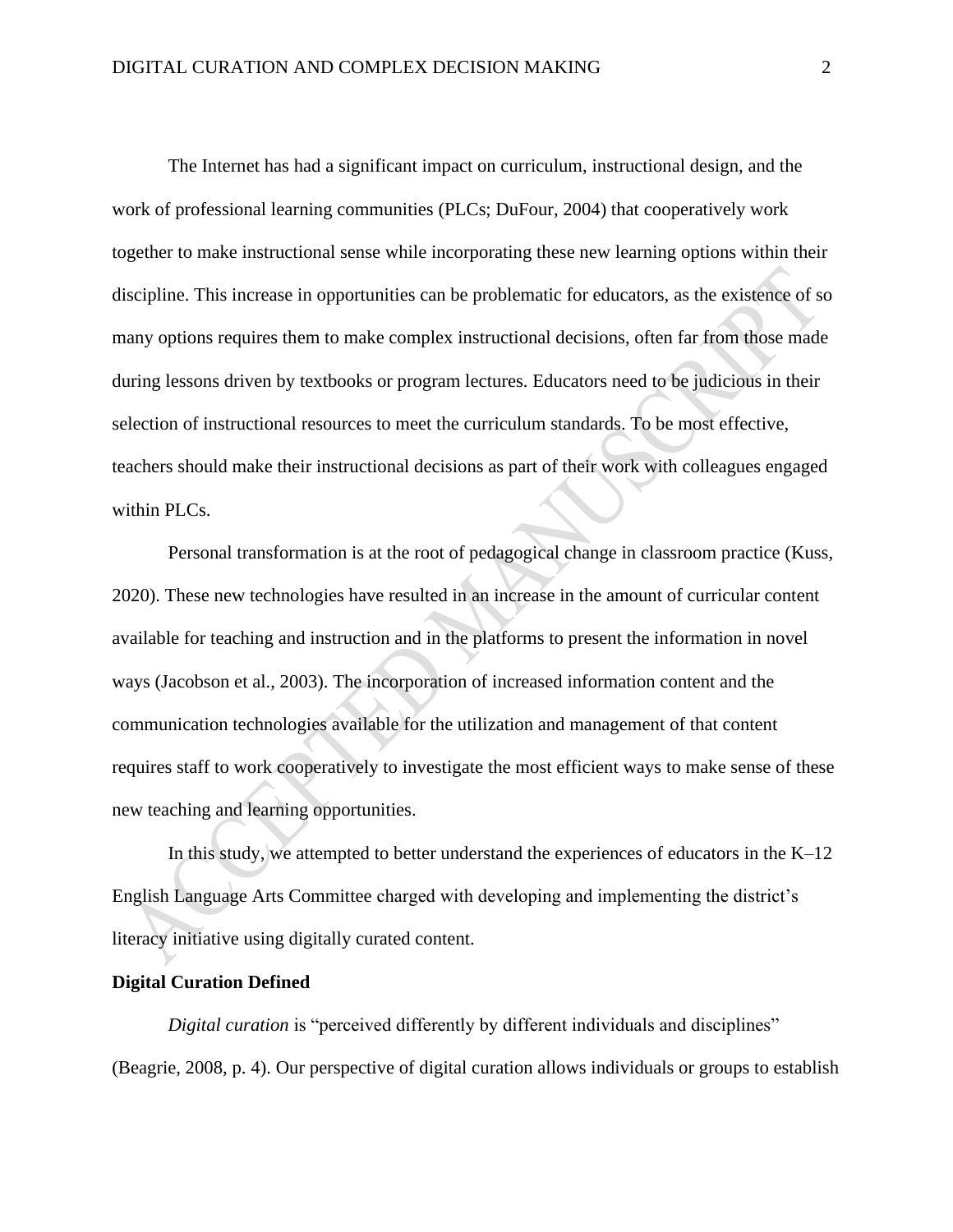The Internet has had a significant impact on curriculum, instructional design, and the work of professional learning communities (PLCs; DuFour, 2004) that cooperatively work together to make instructional sense while incorporating these new learning options within their discipline. This increase in opportunities can be problematic for educators, as the existence of so many options requires them to make complex instructional decisions, often far from those made during lessons driven by textbooks or program lectures. Educators need to be judicious in their selection of instructional resources to meet the curriculum standards. To be most effective, teachers should make their instructional decisions as part of their work with colleagues engaged within PLCs.

Personal transformation is at the root of pedagogical change in classroom practice (Kuss, 2020). These new technologies have resulted in an increase in the amount of curricular content available for teaching and instruction and in the platforms to present the information in novel ways (Jacobson et al., 2003). The incorporation of increased information content and the communication technologies available for the utilization and management of that content requires staff to work cooperatively to investigate the most efficient ways to make sense of these new teaching and learning opportunities.

In this study, we attempted to better understand the experiences of educators in the  $K-12$ English Language Arts Committee charged with developing and implementing the district's literacy initiative using digitally curated content.

#### **Digital Curation Defined**

*Digital curation* is "perceived differently by different individuals and disciplines" (Beagrie, 2008, p. 4). Our perspective of digital curation allows individuals or groups to establish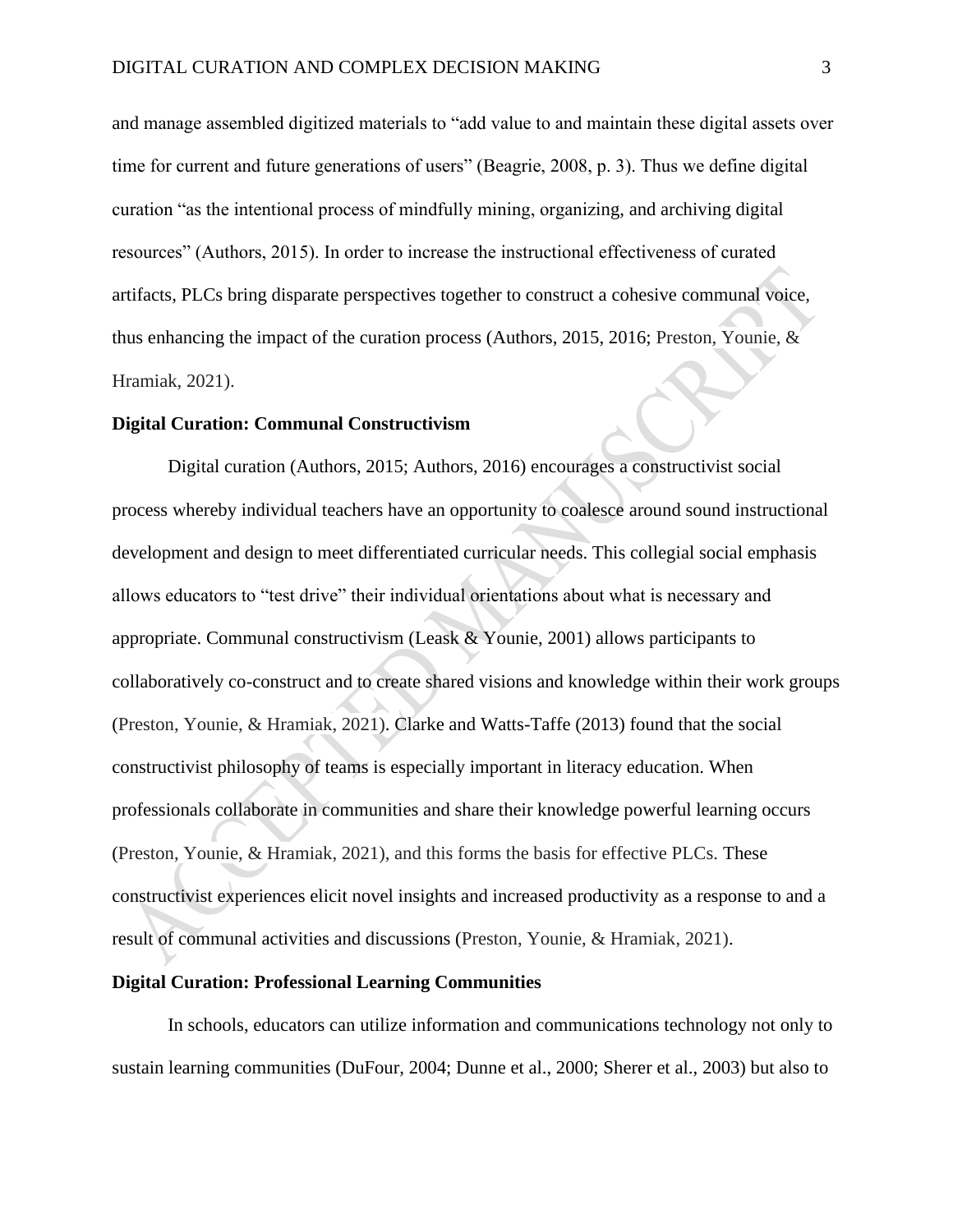and manage assembled digitized materials to "add value to and maintain these digital assets over time for current and future generations of users" (Beagrie, 2008, p. 3). Thus we define digital curation "as the intentional process of mindfully mining, organizing, and archiving digital resources" (Authors, 2015). In order to increase the instructional effectiveness of curated artifacts, PLCs bring disparate perspectives together to construct a cohesive communal voice, thus enhancing the impact of the curation process (Authors, 2015, 2016; Preston, Younie, & Hramiak, 2021).

#### **Digital Curation: Communal Constructivism**

Digital curation (Authors, 2015; Authors, 2016) encourages a constructivist social process whereby individual teachers have an opportunity to coalesce around sound instructional development and design to meet differentiated curricular needs. This collegial social emphasis allows educators to "test drive" their individual orientations about what is necessary and appropriate. Communal constructivism (Leask & Younie, 2001) allows participants to collaboratively co-construct and to create shared visions and knowledge within their work groups (Preston, Younie, & Hramiak, 2021). Clarke and Watts-Taffe (2013) found that the social constructivist philosophy of teams is especially important in literacy education. When professionals collaborate in communities and share their knowledge powerful learning occurs (Preston, Younie, & Hramiak, 2021), and this forms the basis for effective PLCs. These constructivist experiences elicit novel insights and increased productivity as a response to and a result of communal activities and discussions (Preston, Younie, & Hramiak, 2021).

#### **Digital Curation: Professional Learning Communities**

In schools, educators can utilize information and communications technology not only to sustain learning communities (DuFour, 2004; Dunne et al., 2000; Sherer et al., 2003) but also to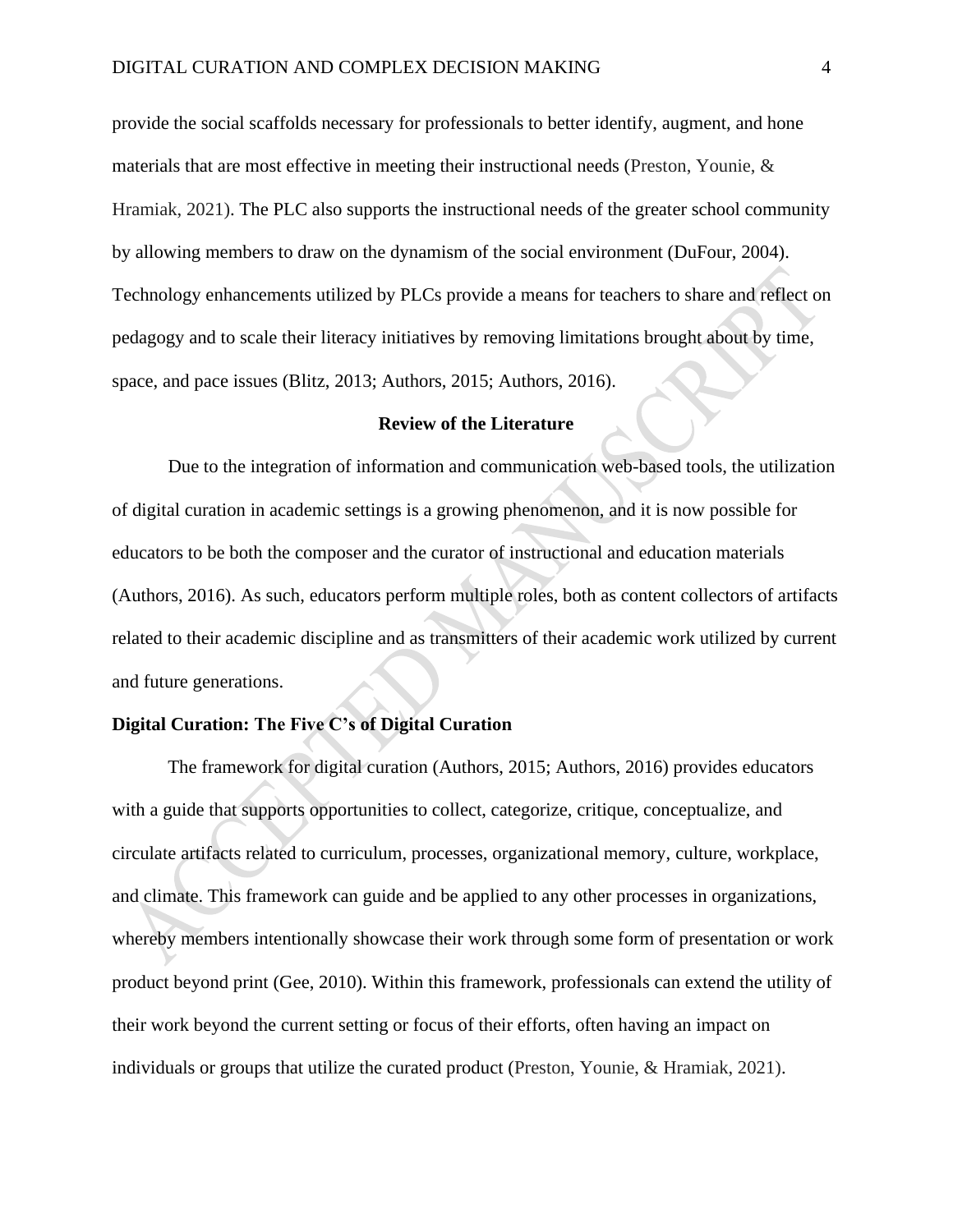provide the social scaffolds necessary for professionals to better identify, augment, and hone materials that are most effective in meeting their instructional needs (Preston, Younie, & Hramiak, 2021). The PLC also supports the instructional needs of the greater school community by allowing members to draw on the dynamism of the social environment (DuFour, 2004). Technology enhancements utilized by PLCs provide a means for teachers to share and reflect on pedagogy and to scale their literacy initiatives by removing limitations brought about by time, space, and pace issues (Blitz, 2013; Authors, 2015; Authors, 2016).

#### **Review of the Literature**

Due to the integration of information and communication web-based tools, the utilization of digital curation in academic settings is a growing phenomenon, and it is now possible for educators to be both the composer and the curator of instructional and education materials (Authors, 2016). As such, educators perform multiple roles, both as content collectors of artifacts related to their academic discipline and as transmitters of their academic work utilized by current and future generations.

# **Digital Curation: The Five C's of Digital Curation**

The framework for digital curation (Authors, 2015; Authors, 2016) provides educators with a guide that supports opportunities to collect, categorize, critique, conceptualize, and circulate artifacts related to curriculum, processes, organizational memory, culture, workplace, and climate. This framework can guide and be applied to any other processes in organizations, whereby members intentionally showcase their work through some form of presentation or work product beyond print (Gee, 2010). Within this framework, professionals can extend the utility of their work beyond the current setting or focus of their efforts, often having an impact on individuals or groups that utilize the curated product (Preston, Younie, & Hramiak, 2021).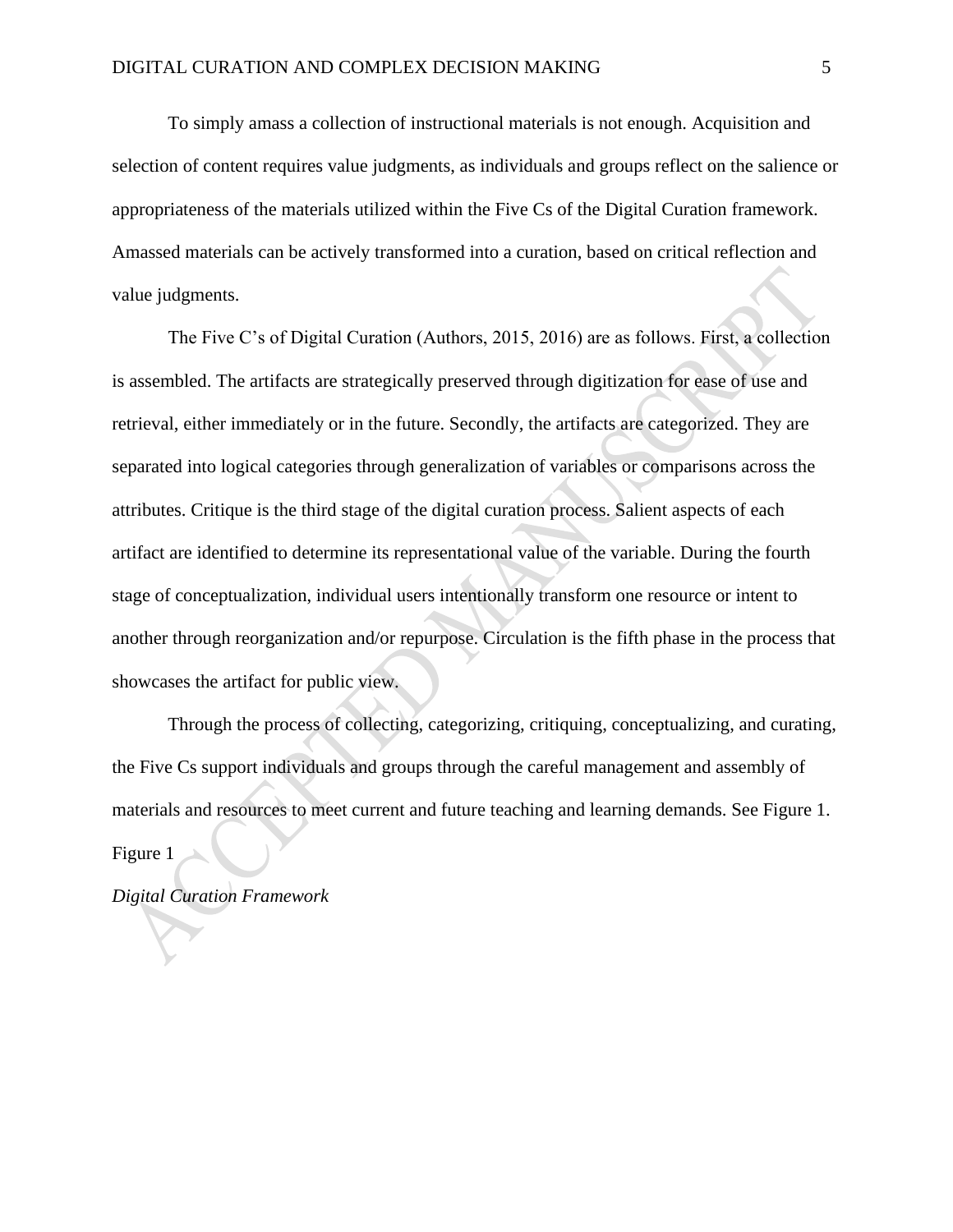To simply amass a collection of instructional materials is not enough. Acquisition and selection of content requires value judgments, as individuals and groups reflect on the salience or appropriateness of the materials utilized within the Five Cs of the Digital Curation framework. Amassed materials can be actively transformed into a curation, based on critical reflection and value judgments.

The Five C's of Digital Curation (Authors, 2015, 2016) are as follows. First, a collection is assembled. The artifacts are strategically preserved through digitization for ease of use and retrieval, either immediately or in the future. Secondly, the artifacts are categorized. They are separated into logical categories through generalization of variables or comparisons across the attributes. Critique is the third stage of the digital curation process. Salient aspects of each artifact are identified to determine its representational value of the variable. During the fourth stage of conceptualization, individual users intentionally transform one resource or intent to another through reorganization and/or repurpose. Circulation is the fifth phase in the process that showcases the artifact for public view.

Through the process of collecting, categorizing, critiquing, conceptualizing, and curating, the Five Cs support individuals and groups through the careful management and assembly of materials and resources to meet current and future teaching and learning demands. See Figure 1. Figure 1

*Digital Curation Framework*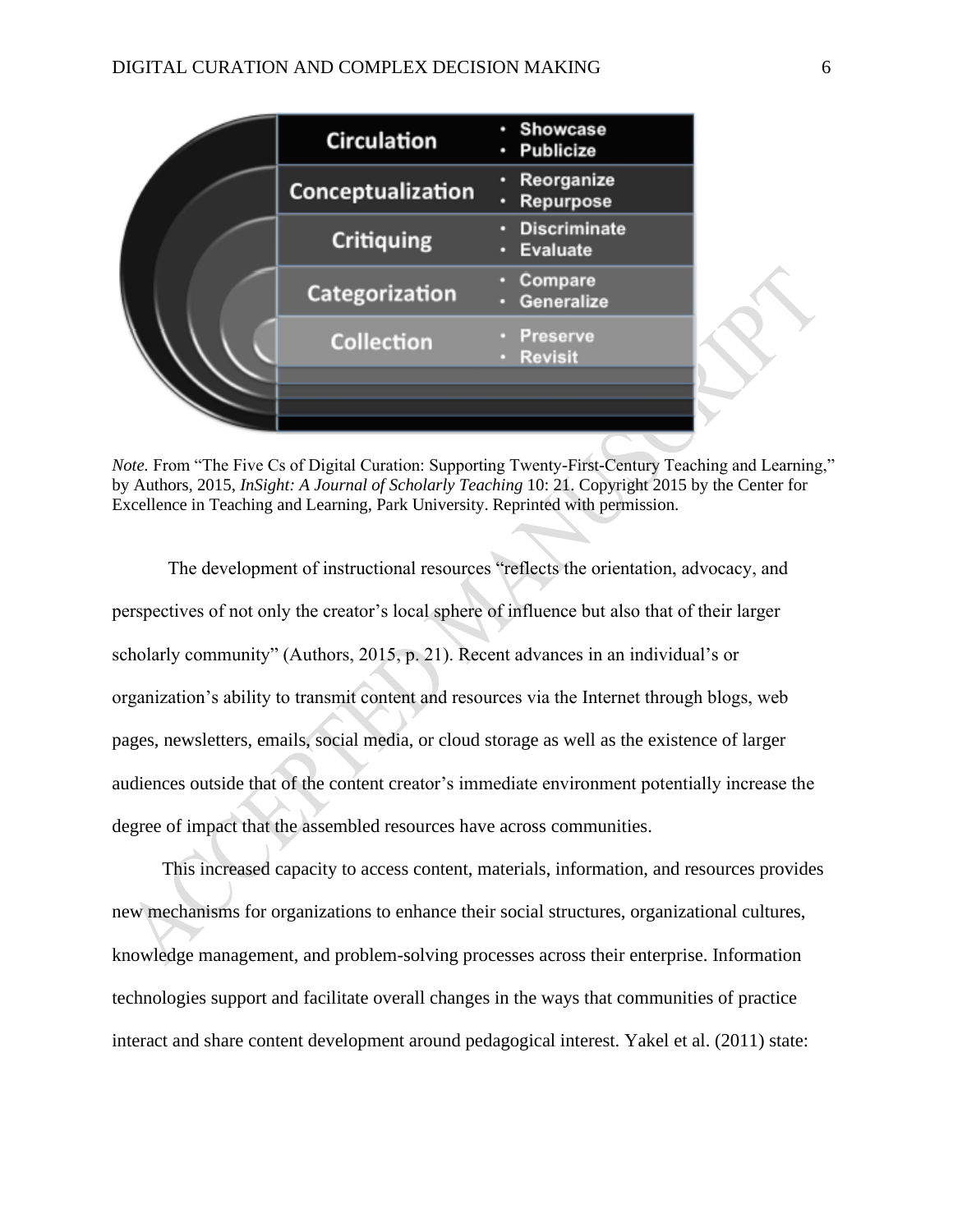#### DIGITAL CURATION AND COMPLEX DECISION MAKING 6

|  | <b>Circulation</b> | · Showcase<br><b>Publicize</b><br>٥ |
|--|--------------------|-------------------------------------|
|  | Conceptualization  | Reorganize<br>۰<br>Repurpose<br>۰   |
|  | <b>Critiquing</b>  | · Discriminate<br>Evaluate<br>о     |
|  | Categorization     | Compare<br>Generalize               |
|  | <b>Collection</b>  | Preserve<br><b>Revisit</b>          |
|  |                    |                                     |

*Note.* From "The Five Cs of Digital Curation: Supporting Twenty-First-Century Teaching and Learning," by Authors, 2015, *InSight: A Journal of Scholarly Teaching* 10: 21. Copyright 2015 by the Center for Excellence in Teaching and Learning, Park University. Reprinted with permission.

The development of instructional resources "reflects the orientation, advocacy, and perspectives of not only the creator's local sphere of influence but also that of their larger scholarly community" (Authors, 2015, p. 21). Recent advances in an individual's or organization's ability to transmit content and resources via the Internet through blogs, web pages, newsletters, emails, social media, or cloud storage as well as the existence of larger audiences outside that of the content creator's immediate environment potentially increase the degree of impact that the assembled resources have across communities.

This increased capacity to access content, materials, information, and resources provides new mechanisms for organizations to enhance their social structures, organizational cultures, knowledge management, and problem-solving processes across their enterprise. Information technologies support and facilitate overall changes in the ways that communities of practice interact and share content development around pedagogical interest. Yakel et al. (2011) state: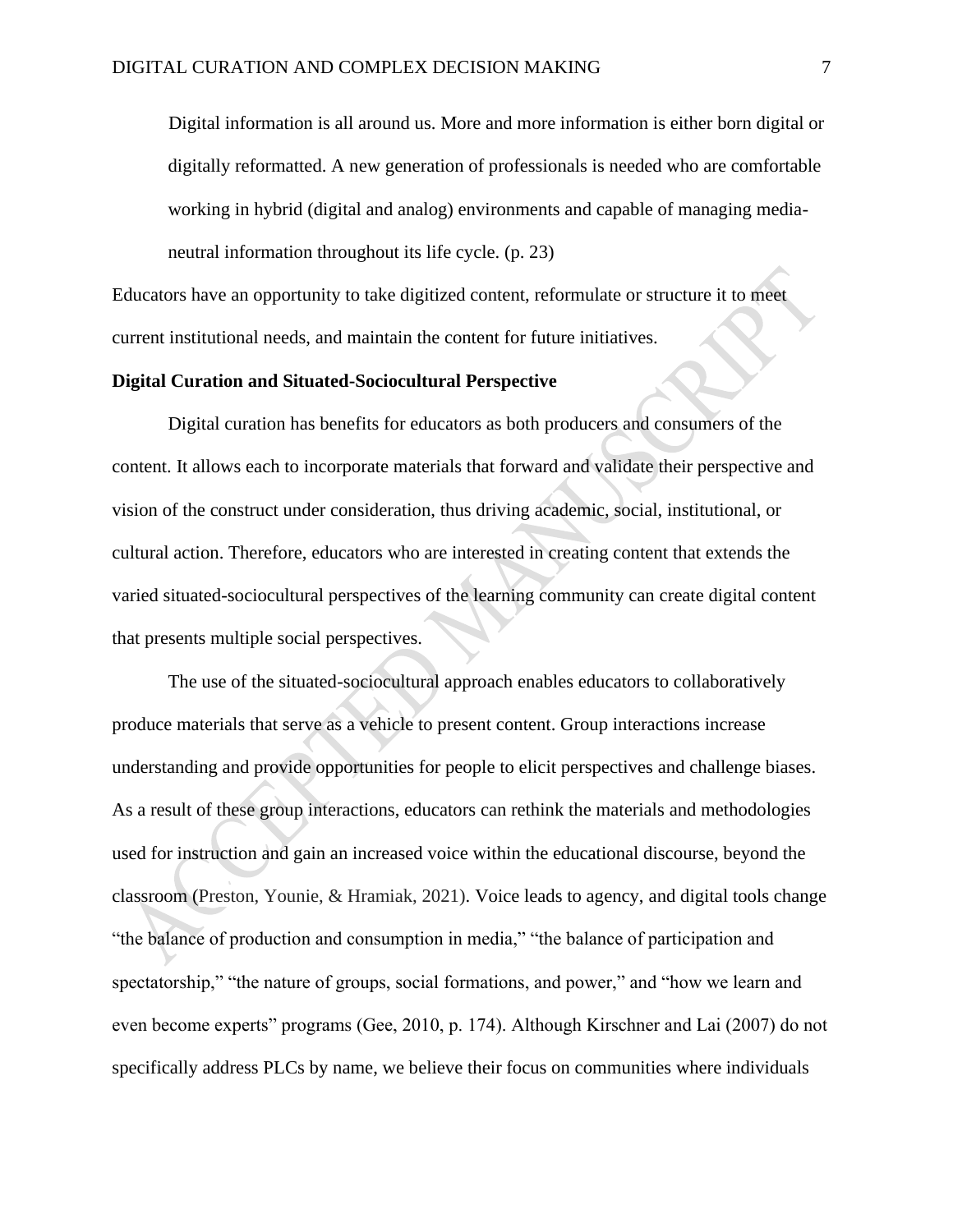Digital information is all around us. More and more information is either born digital or digitally reformatted. A new generation of professionals is needed who are comfortable working in hybrid (digital and analog) environments and capable of managing medianeutral information throughout its life cycle. (p. 23)

Educators have an opportunity to take digitized content, reformulate or structure it to meet current institutional needs, and maintain the content for future initiatives.

#### **Digital Curation and Situated-Sociocultural Perspective**

Digital curation has benefits for educators as both producers and consumers of the content. It allows each to incorporate materials that forward and validate their perspective and vision of the construct under consideration, thus driving academic, social, institutional, or cultural action. Therefore, educators who are interested in creating content that extends the varied situated-sociocultural perspectives of the learning community can create digital content that presents multiple social perspectives.

The use of the situated-sociocultural approach enables educators to collaboratively produce materials that serve as a vehicle to present content. Group interactions increase understanding and provide opportunities for people to elicit perspectives and challenge biases. As a result of these group interactions, educators can rethink the materials and methodologies used for instruction and gain an increased voice within the educational discourse, beyond the classroom (Preston, Younie, & Hramiak, 2021). Voice leads to agency, and digital tools change "the balance of production and consumption in media," "the balance of participation and spectatorship," "the nature of groups, social formations, and power," and "how we learn and even become experts" programs (Gee, 2010, p. 174). Although Kirschner and Lai (2007) do not specifically address PLCs by name, we believe their focus on communities where individuals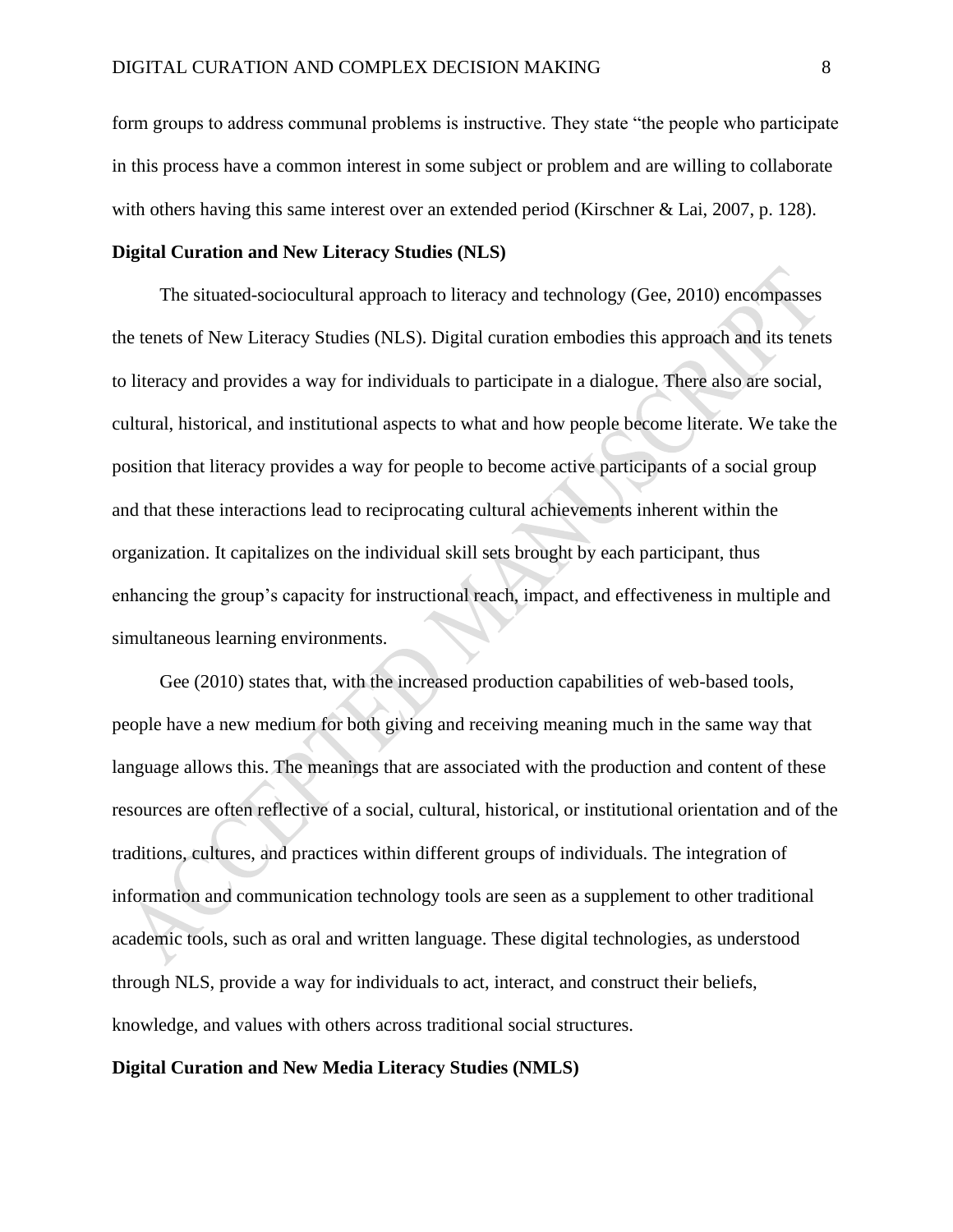form groups to address communal problems is instructive. They state "the people who participate in this process have a common interest in some subject or problem and are willing to collaborate with others having this same interest over an extended period (Kirschner & Lai, 2007, p. 128).

## **Digital Curation and New Literacy Studies (NLS)**

The situated-sociocultural approach to literacy and technology (Gee, 2010) encompasses the tenets of New Literacy Studies (NLS). Digital curation embodies this approach and its tenets to literacy and provides a way for individuals to participate in a dialogue. There also are social, cultural, historical, and institutional aspects to what and how people become literate. We take the position that literacy provides a way for people to become active participants of a social group and that these interactions lead to reciprocating cultural achievements inherent within the organization. It capitalizes on the individual skill sets brought by each participant, thus enhancing the group's capacity for instructional reach, impact, and effectiveness in multiple and simultaneous learning environments.

Gee (2010) states that, with the increased production capabilities of web-based tools, people have a new medium for both giving and receiving meaning much in the same way that language allows this. The meanings that are associated with the production and content of these resources are often reflective of a social, cultural, historical, or institutional orientation and of the traditions, cultures, and practices within different groups of individuals. The integration of information and communication technology tools are seen as a supplement to other traditional academic tools, such as oral and written language. These digital technologies, as understood through NLS, provide a way for individuals to act, interact, and construct their beliefs, knowledge, and values with others across traditional social structures.

# **Digital Curation and New Media Literacy Studies (NMLS)**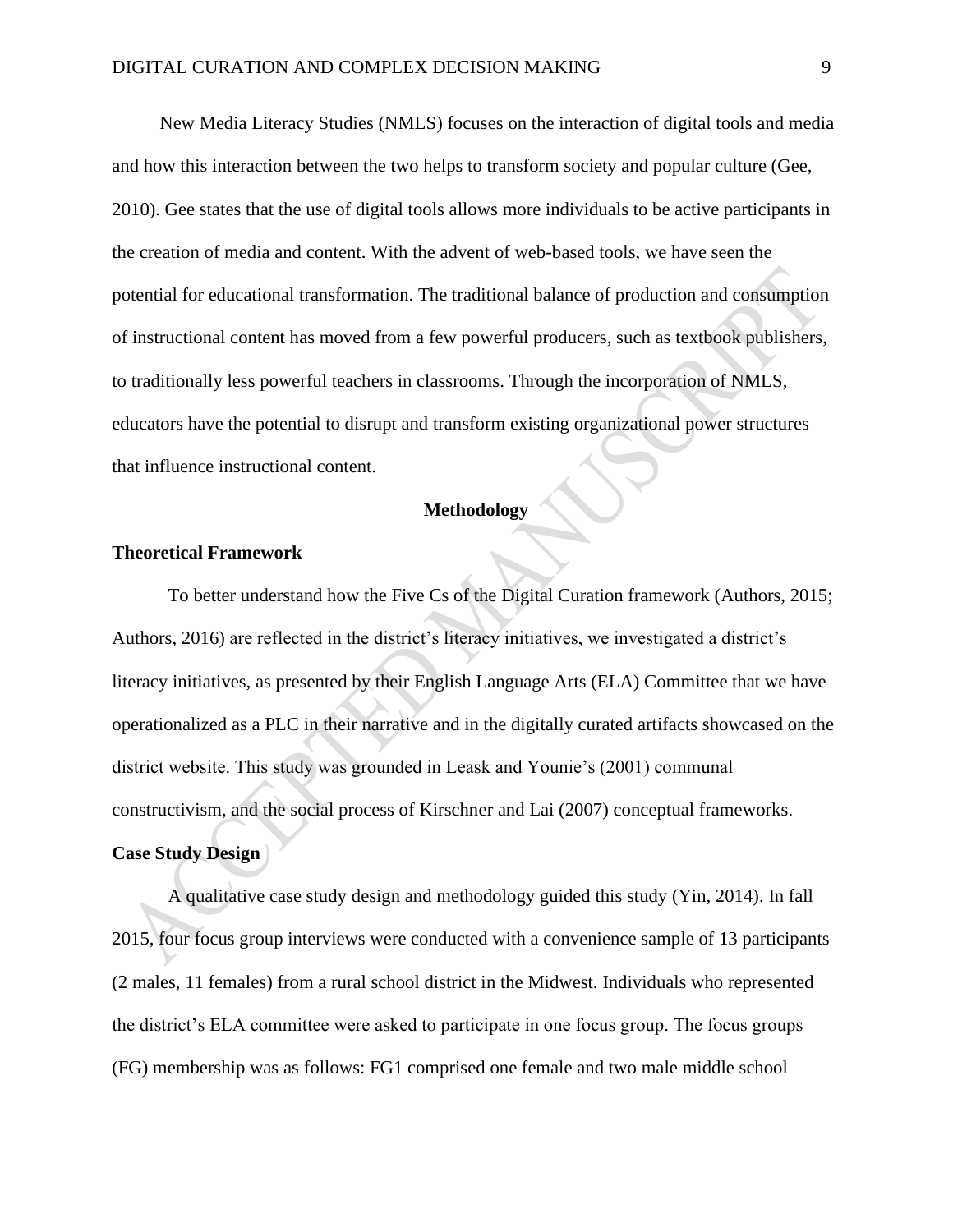New Media Literacy Studies (NMLS) focuses on the interaction of digital tools and media and how this interaction between the two helps to transform society and popular culture (Gee, 2010). Gee states that the use of digital tools allows more individuals to be active participants in the creation of media and content. With the advent of web-based tools, we have seen the potential for educational transformation. The traditional balance of production and consumption of instructional content has moved from a few powerful producers, such as textbook publishers, to traditionally less powerful teachers in classrooms. Through the incorporation of NMLS, educators have the potential to disrupt and transform existing organizational power structures that influence instructional content.

## **Methodology**

#### **Theoretical Framework**

To better understand how the Five Cs of the Digital Curation framework (Authors, 2015; Authors, 2016) are reflected in the district's literacy initiatives, we investigated a district's literacy initiatives, as presented by their English Language Arts (ELA) Committee that we have operationalized as a PLC in their narrative and in the digitally curated artifacts showcased on the district website. This study was grounded in Leask and Younie's (2001) communal constructivism, and the social process of Kirschner and Lai (2007) conceptual frameworks. **Case Study Design** 

A qualitative case study design and methodology guided this study (Yin, 2014). In fall 2015, four focus group interviews were conducted with a convenience sample of 13 participants (2 males, 11 females) from a rural school district in the Midwest. Individuals who represented the district's ELA committee were asked to participate in one focus group. The focus groups (FG) membership was as follows: FG1 comprised one female and two male middle school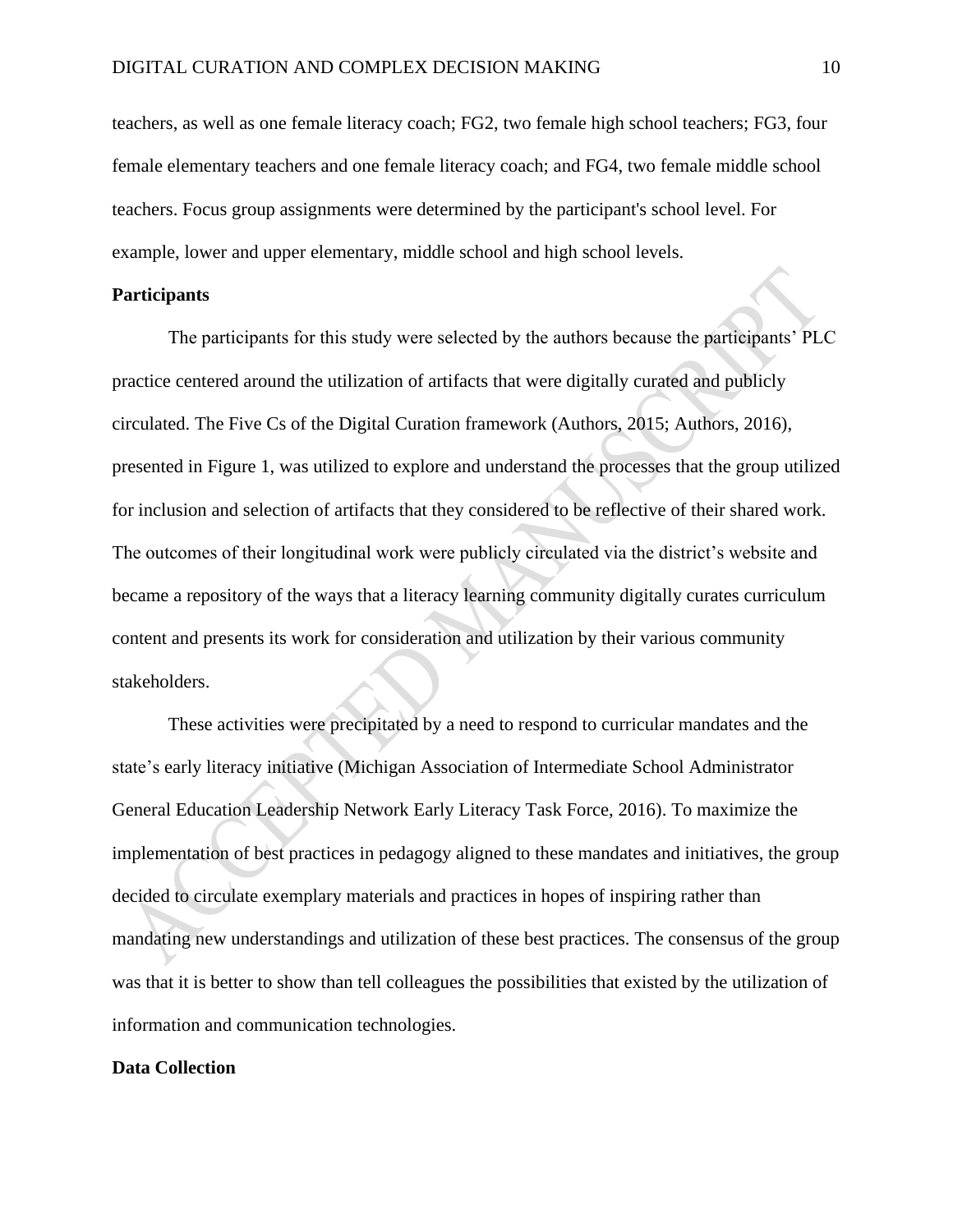teachers, as well as one female literacy coach; FG2, two female high school teachers; FG3, four female elementary teachers and one female literacy coach; and FG4, two female middle school teachers. Focus group assignments were determined by the participant's school level. For example, lower and upper elementary, middle school and high school levels.

## **Participants**

The participants for this study were selected by the authors because the participants' PLC practice centered around the utilization of artifacts that were digitally curated and publicly circulated. The Five Cs of the Digital Curation framework (Authors, 2015; Authors, 2016), presented in Figure 1, was utilized to explore and understand the processes that the group utilized for inclusion and selection of artifacts that they considered to be reflective of their shared work. The outcomes of their longitudinal work were publicly circulated via the district's website and became a repository of the ways that a literacy learning community digitally curates curriculum content and presents its work for consideration and utilization by their various community stakeholders.

These activities were precipitated by a need to respond to curricular mandates and the state's early literacy initiative (Michigan Association of Intermediate School Administrator General Education Leadership Network Early Literacy Task Force, 2016). To maximize the implementation of best practices in pedagogy aligned to these mandates and initiatives, the group decided to circulate exemplary materials and practices in hopes of inspiring rather than mandating new understandings and utilization of these best practices. The consensus of the group was that it is better to show than tell colleagues the possibilities that existed by the utilization of information and communication technologies.

#### **Data Collection**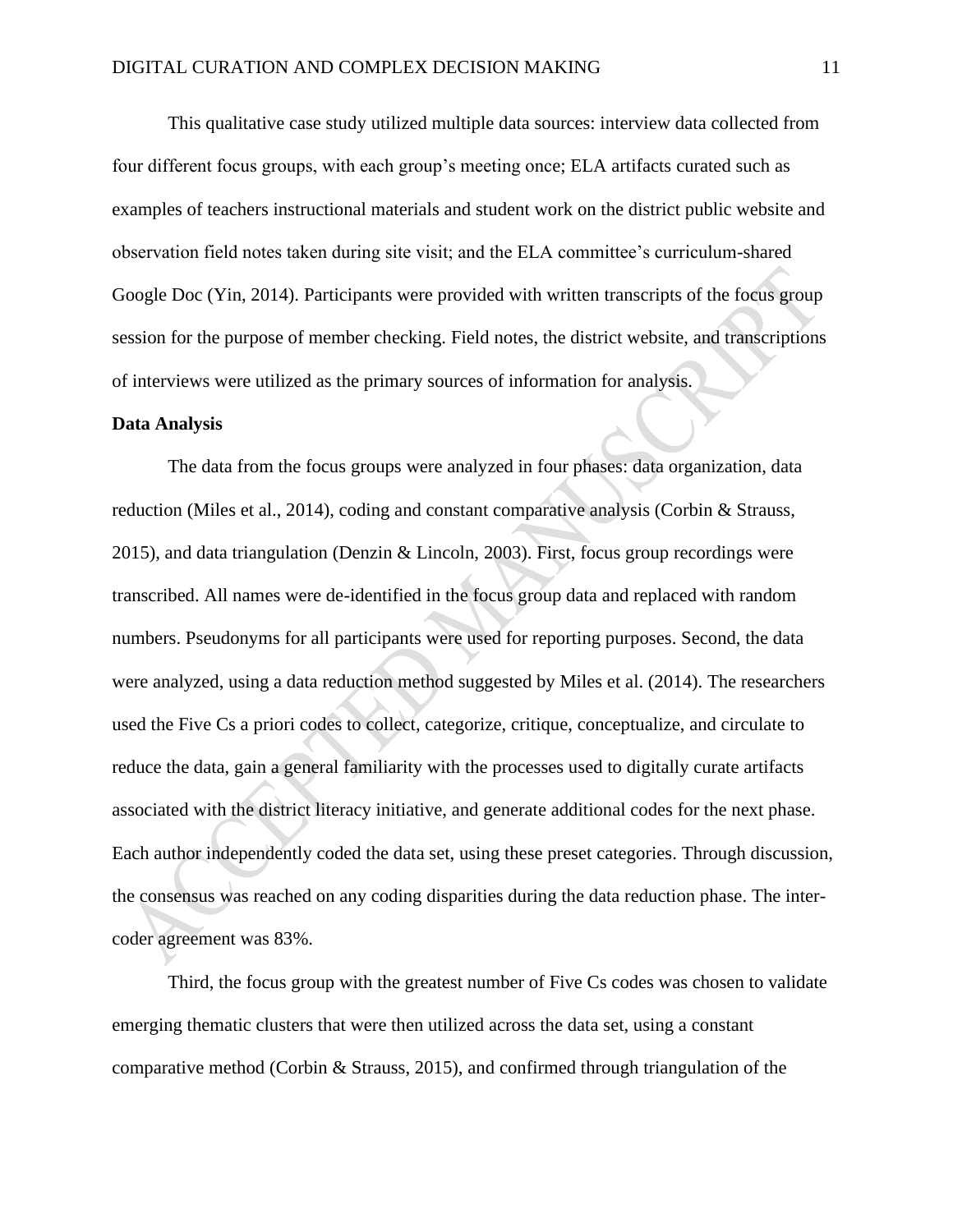This qualitative case study utilized multiple data sources: interview data collected from four different focus groups, with each group's meeting once; ELA artifacts curated such as examples of teachers instructional materials and student work on the district public website and observation field notes taken during site visit; and the ELA committee's curriculum-shared Google Doc (Yin, 2014). Participants were provided with written transcripts of the focus group session for the purpose of member checking. Field notes, the district website, and transcriptions of interviews were utilized as the primary sources of information for analysis.

#### **Data Analysis**

The data from the focus groups were analyzed in four phases: data organization, data reduction (Miles et al., 2014), coding and constant comparative analysis (Corbin & Strauss, 2015), and data triangulation (Denzin & Lincoln, 2003). First, focus group recordings were transcribed. All names were de-identified in the focus group data and replaced with random numbers. Pseudonyms for all participants were used for reporting purposes. Second, the data were analyzed, using a data reduction method suggested by Miles et al. (2014). The researchers used the Five Cs a priori codes to collect, categorize, critique, conceptualize, and circulate to reduce the data, gain a general familiarity with the processes used to digitally curate artifacts associated with the district literacy initiative, and generate additional codes for the next phase. Each author independently coded the data set, using these preset categories. Through discussion, the consensus was reached on any coding disparities during the data reduction phase. The intercoder agreement was 83%.

Third, the focus group with the greatest number of Five Cs codes was chosen to validate emerging thematic clusters that were then utilized across the data set, using a constant comparative method (Corbin & Strauss, 2015), and confirmed through triangulation of the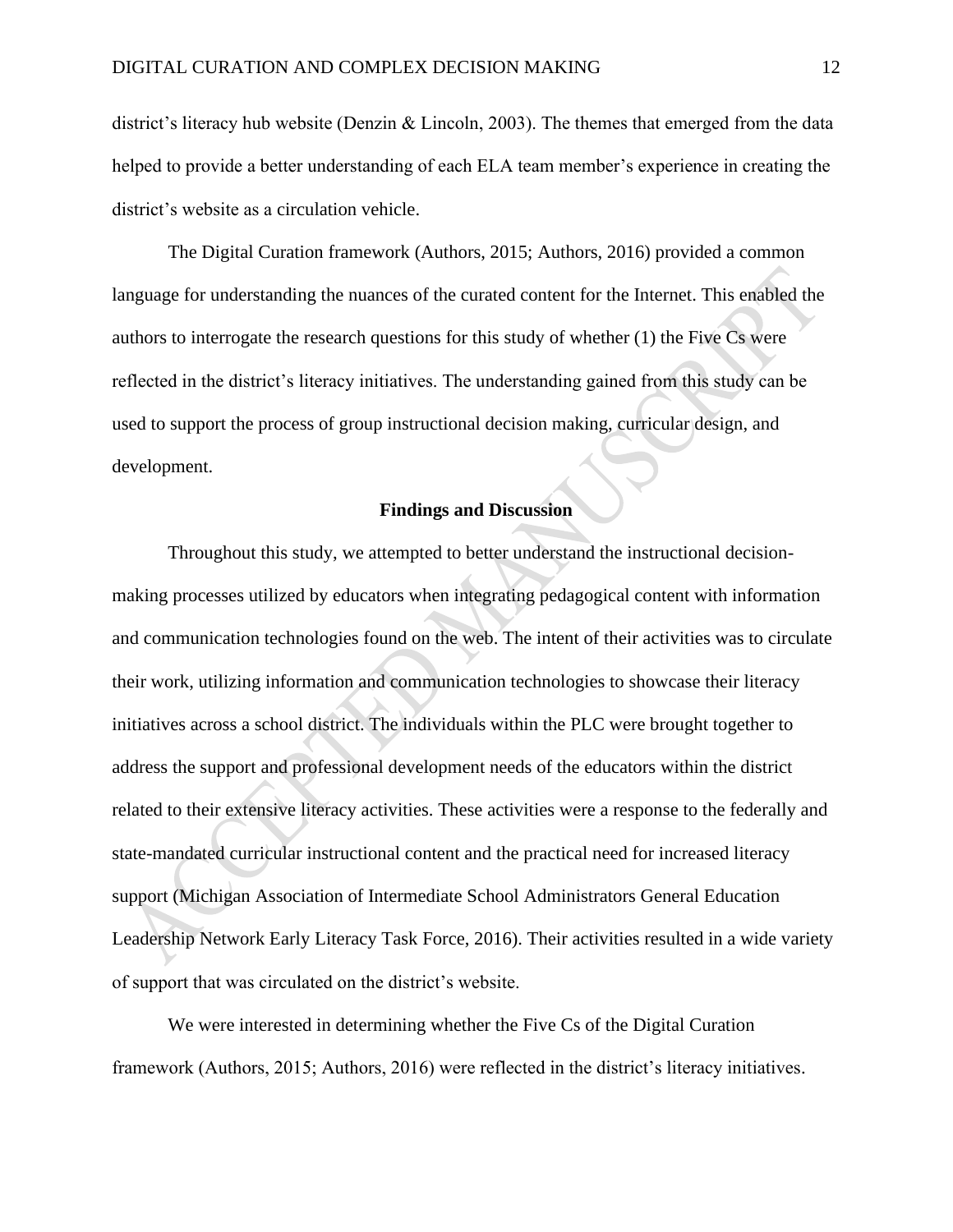district's literacy hub website (Denzin & Lincoln, 2003). The themes that emerged from the data helped to provide a better understanding of each ELA team member's experience in creating the district's website as a circulation vehicle.

The Digital Curation framework (Authors, 2015; Authors, 2016) provided a common language for understanding the nuances of the curated content for the Internet. This enabled the authors to interrogate the research questions for this study of whether (1) the Five Cs were reflected in the district's literacy initiatives. The understanding gained from this study can be used to support the process of group instructional decision making, curricular design, and development.

# **Findings and Discussion**

Throughout this study, we attempted to better understand the instructional decisionmaking processes utilized by educators when integrating pedagogical content with information and communication technologies found on the web. The intent of their activities was to circulate their work, utilizing information and communication technologies to showcase their literacy initiatives across a school district. The individuals within the PLC were brought together to address the support and professional development needs of the educators within the district related to their extensive literacy activities. These activities were a response to the federally and state-mandated curricular instructional content and the practical need for increased literacy support (Michigan Association of Intermediate School Administrators General Education Leadership Network Early Literacy Task Force, 2016). Their activities resulted in a wide variety of support that was circulated on the district's website.

We were interested in determining whether the Five Cs of the Digital Curation framework (Authors, 2015; Authors, 2016) were reflected in the district's literacy initiatives.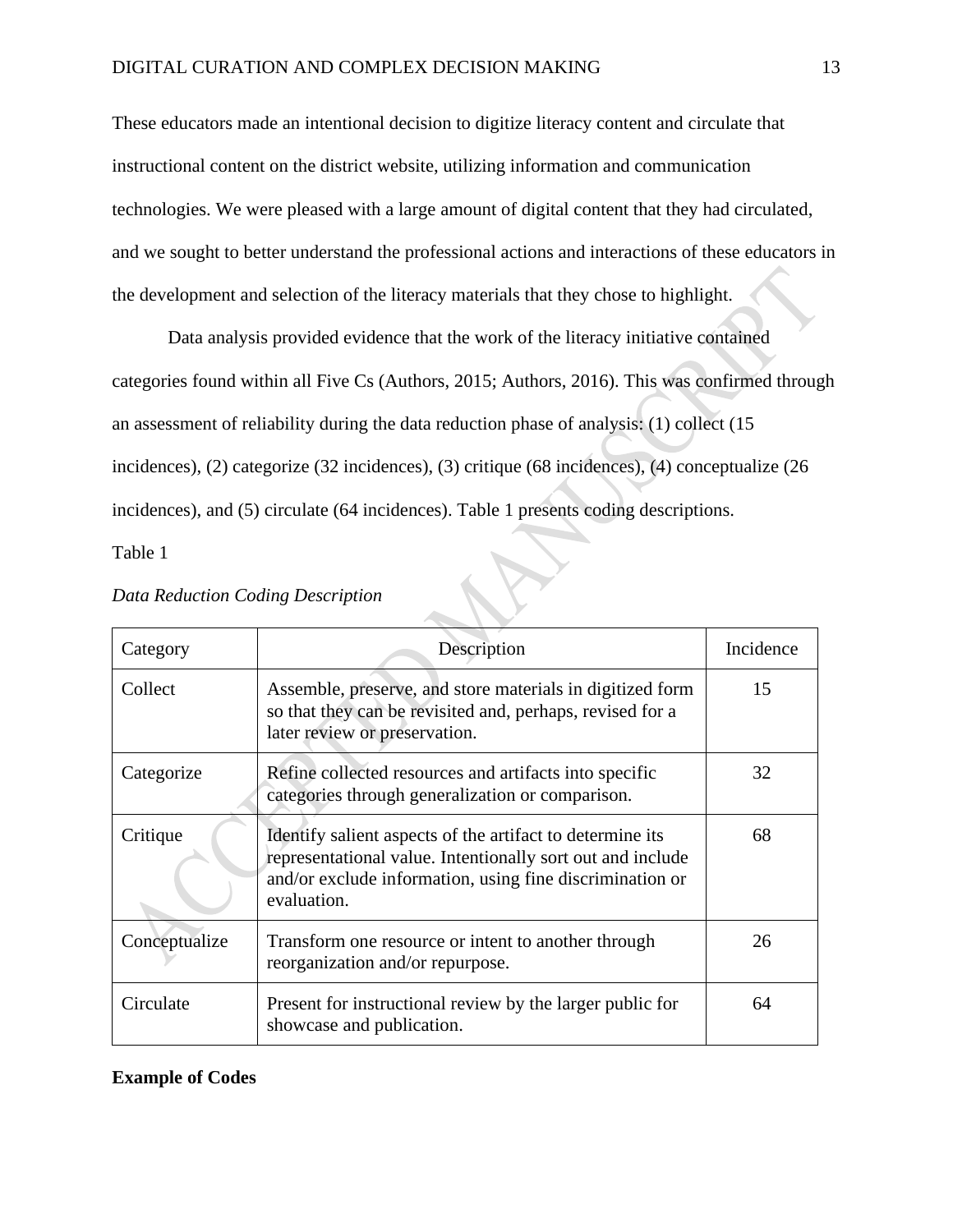These educators made an intentional decision to digitize literacy content and circulate that instructional content on the district website, utilizing information and communication technologies. We were pleased with a large amount of digital content that they had circulated, and we sought to better understand the professional actions and interactions of these educators in the development and selection of the literacy materials that they chose to highlight.

Data analysis provided evidence that the work of the literacy initiative contained categories found within all Five Cs (Authors, 2015; Authors, 2016). This was confirmed through an assessment of reliability during the data reduction phase of analysis: (1) collect (15 incidences), (2) categorize (32 incidences), (3) critique (68 incidences), (4) conceptualize (26 incidences), and (5) circulate (64 incidences). Table 1 presents coding descriptions.

Table 1

| Category      | Description                                                                                                                                                                                        | Incidence |
|---------------|----------------------------------------------------------------------------------------------------------------------------------------------------------------------------------------------------|-----------|
| Collect       | Assemble, preserve, and store materials in digitized form<br>so that they can be revisited and, perhaps, revised for a<br>later review or preservation.                                            | 15        |
| Categorize    | Refine collected resources and artifacts into specific<br>categories through generalization or comparison.                                                                                         | 32        |
| Critique      | Identify salient aspects of the artifact to determine its<br>representational value. Intentionally sort out and include<br>and/or exclude information, using fine discrimination or<br>evaluation. | 68        |
| Conceptualize | Transform one resource or intent to another through<br>reorganization and/or repurpose.                                                                                                            | 26        |
| Circulate     | Present for instructional review by the larger public for<br>showcase and publication.                                                                                                             | 64        |

## *Data Reduction Coding Description*

## **Example of Codes**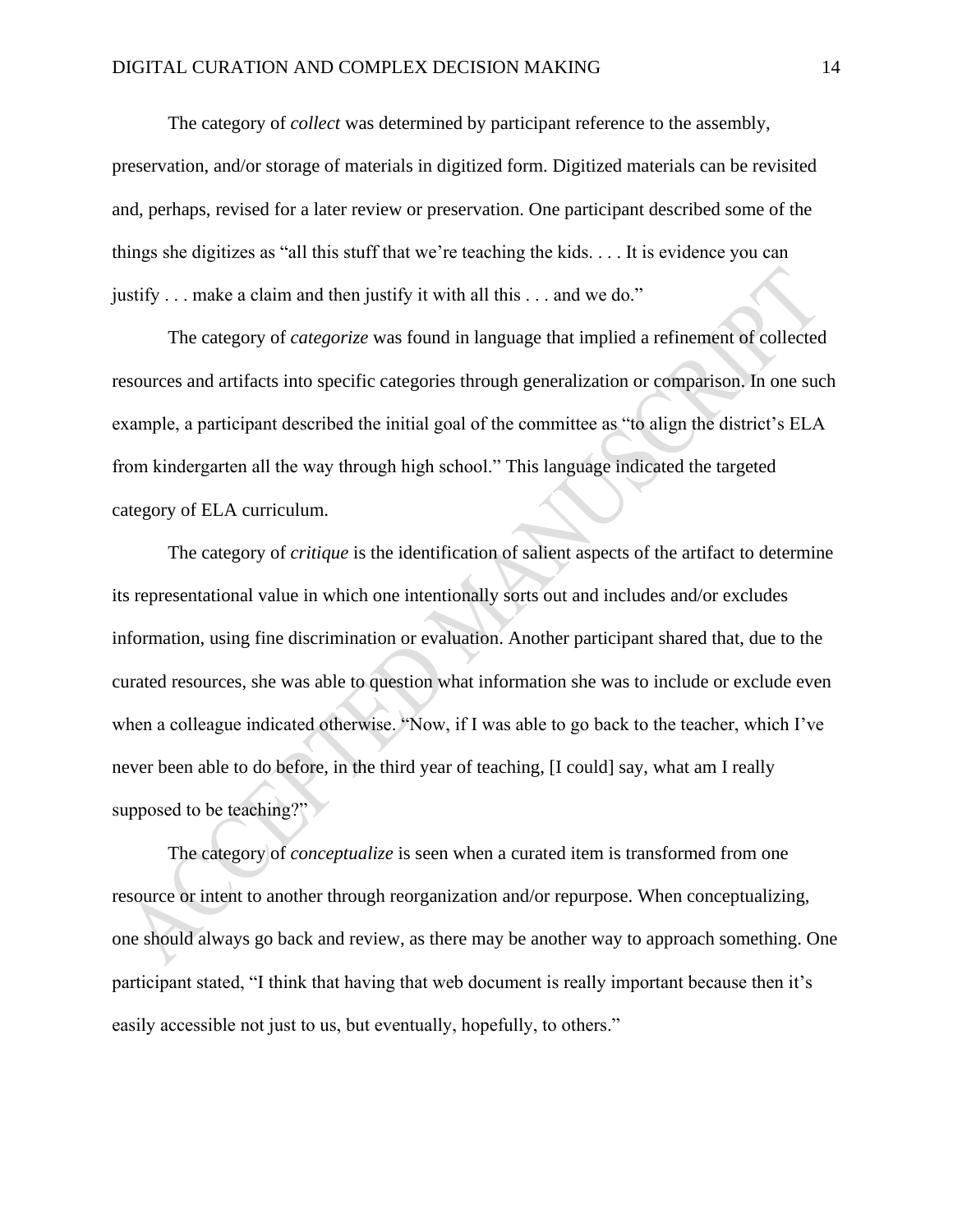The category of *collect* was determined by participant reference to the assembly, preservation, and/or storage of materials in digitized form. Digitized materials can be revisited and, perhaps, revised for a later review or preservation. One participant described some of the things she digitizes as "all this stuff that we're teaching the kids. . . . It is evidence you can justify . . . make a claim and then justify it with all this . . . and we do."

The category of *categorize* was found in language that implied a refinement of collected resources and artifacts into specific categories through generalization or comparison. In one such example, a participant described the initial goal of the committee as "to align the district's ELA from kindergarten all the way through high school." This language indicated the targeted category of ELA curriculum.

The category of *critique* is the identification of salient aspects of the artifact to determine its representational value in which one intentionally sorts out and includes and/or excludes information, using fine discrimination or evaluation. Another participant shared that, due to the curated resources, she was able to question what information she was to include or exclude even when a colleague indicated otherwise. "Now, if I was able to go back to the teacher, which I've never been able to do before, in the third year of teaching, [I could] say, what am I really supposed to be teaching?"

The category of *conceptualize* is seen when a curated item is transformed from one resource or intent to another through reorganization and/or repurpose. When conceptualizing, one should always go back and review, as there may be another way to approach something. One participant stated, "I think that having that web document is really important because then it's easily accessible not just to us, but eventually, hopefully, to others."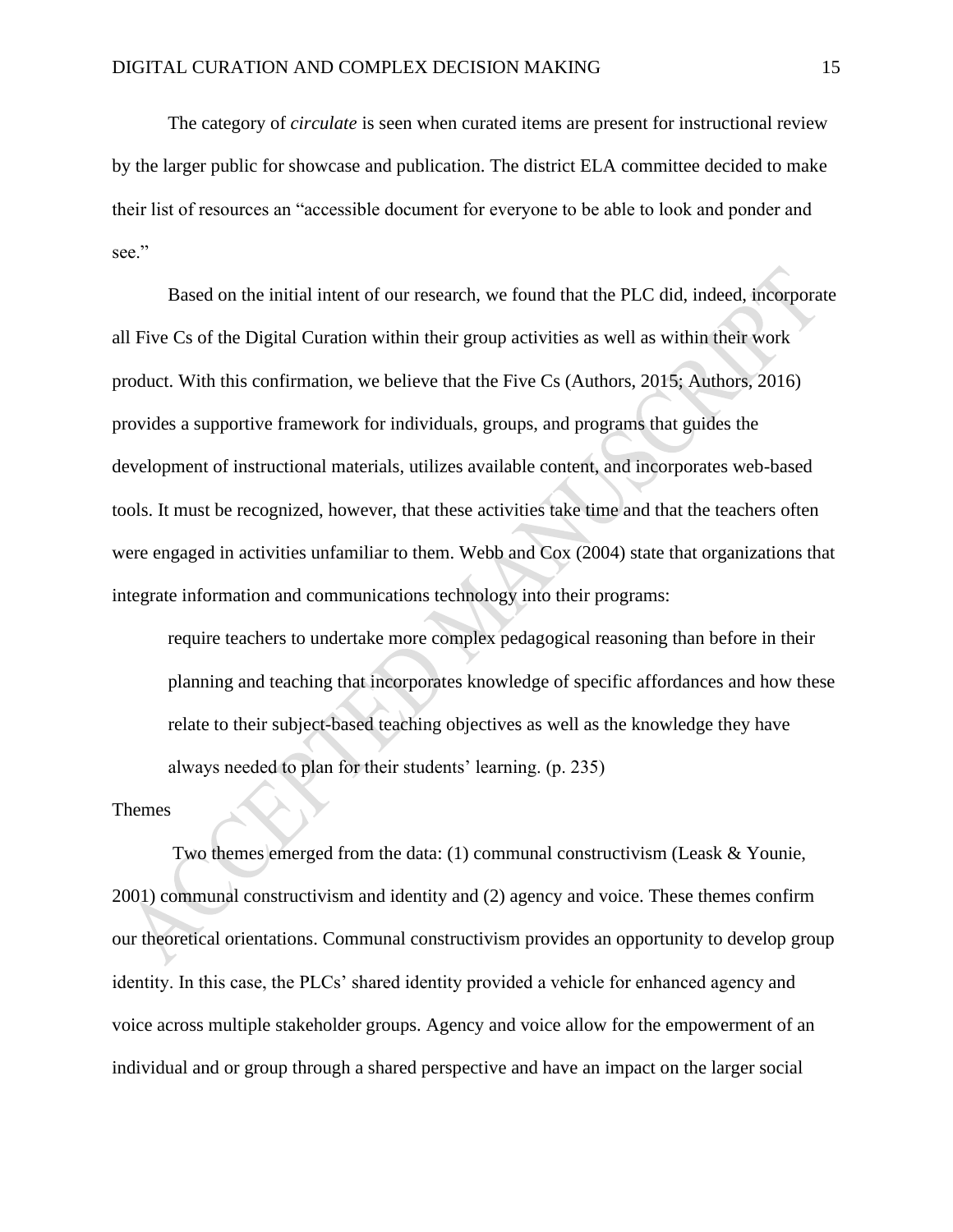The category of *circulate* is seen when curated items are present for instructional review by the larger public for showcase and publication. The district ELA committee decided to make their list of resources an "accessible document for everyone to be able to look and ponder and see."

Based on the initial intent of our research, we found that the PLC did, indeed, incorporate all Five Cs of the Digital Curation within their group activities as well as within their work product. With this confirmation, we believe that the Five Cs (Authors, 2015; Authors, 2016) provides a supportive framework for individuals, groups, and programs that guides the development of instructional materials, utilizes available content, and incorporates web-based tools. It must be recognized, however, that these activities take time and that the teachers often were engaged in activities unfamiliar to them. Webb and Cox (2004) state that organizations that integrate information and communications technology into their programs:

require teachers to undertake more complex pedagogical reasoning than before in their planning and teaching that incorporates knowledge of specific affordances and how these relate to their subject-based teaching objectives as well as the knowledge they have always needed to plan for their students' learning. (p. 235)

#### Themes

Two themes emerged from the data: (1) communal constructivism (Leask & Younie, 2001) communal constructivism and identity and (2) agency and voice. These themes confirm our theoretical orientations. Communal constructivism provides an opportunity to develop group identity. In this case, the PLCs' shared identity provided a vehicle for enhanced agency and voice across multiple stakeholder groups. Agency and voice allow for the empowerment of an individual and or group through a shared perspective and have an impact on the larger social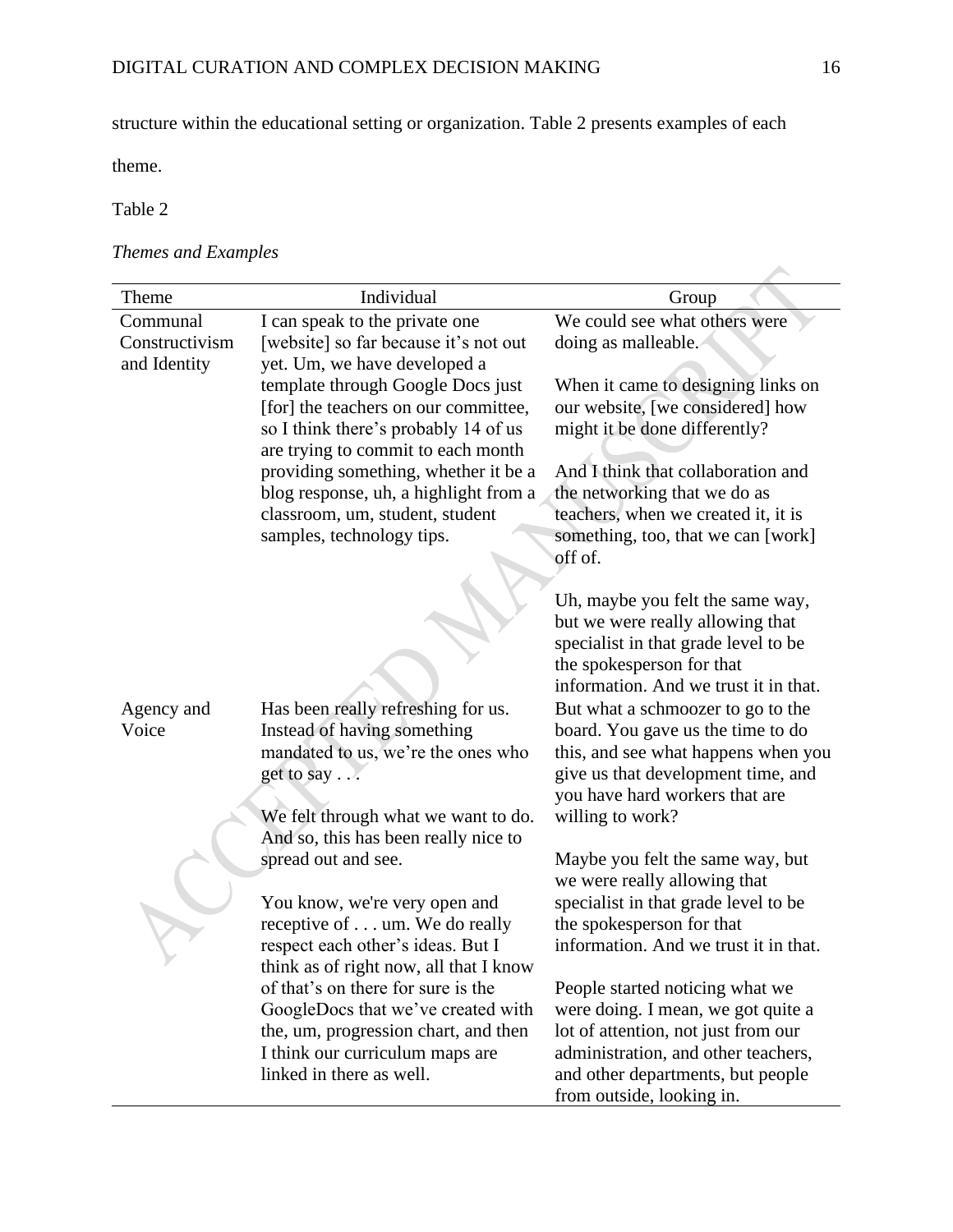structure within the educational setting or organization. Table 2 presents examples of each

theme.

Table 2

# *Themes and Examples*

| Theme          | Individual                                                                  | Group                                                                     |
|----------------|-----------------------------------------------------------------------------|---------------------------------------------------------------------------|
| Communal       | I can speak to the private one                                              | We could see what others were                                             |
| Constructivism | [website] so far because it's not out                                       | doing as malleable.                                                       |
| and Identity   | yet. Um, we have developed a                                                |                                                                           |
|                | template through Google Docs just                                           | When it came to designing links on                                        |
|                | [for] the teachers on our committee,                                        | our website, [we considered] how                                          |
|                | so I think there's probably 14 of us<br>are trying to commit to each month  | might it be done differently?                                             |
|                | providing something, whether it be a                                        | And I think that collaboration and                                        |
|                | blog response, uh, a highlight from a                                       | the networking that we do as                                              |
|                | classroom, um, student, student                                             | teachers, when we created it, it is                                       |
|                | samples, technology tips.                                                   | something, too, that we can [work]                                        |
|                |                                                                             | off of.                                                                   |
|                |                                                                             |                                                                           |
|                |                                                                             | Uh, maybe you felt the same way,                                          |
|                |                                                                             | but we were really allowing that<br>specialist in that grade level to be  |
|                |                                                                             | the spokesperson for that                                                 |
|                |                                                                             | information. And we trust it in that.                                     |
| Agency and     | Has been really refreshing for us.                                          | But what a schmoozer to go to the                                         |
| Voice          | Instead of having something                                                 | board. You gave us the time to do                                         |
|                | mandated to us, we're the ones who                                          | this, and see what happens when you                                       |
|                | get to say                                                                  | give us that development time, and                                        |
|                |                                                                             | you have hard workers that are                                            |
|                | We felt through what we want to do.<br>And so, this has been really nice to | willing to work?                                                          |
|                | spread out and see.                                                         | Maybe you felt the same way, but                                          |
|                |                                                                             | we were really allowing that                                              |
|                | You know, we're very open and                                               | specialist in that grade level to be                                      |
|                | receptive of um. We do really                                               | the spokesperson for that                                                 |
|                | respect each other's ideas. But I                                           | information. And we trust it in that.                                     |
|                | think as of right now, all that I know                                      |                                                                           |
|                | of that's on there for sure is the                                          | People started noticing what we                                           |
|                | GoogleDocs that we've created with<br>the, um, progression chart, and then  | were doing. I mean, we got quite a<br>lot of attention, not just from our |
|                | I think our curriculum maps are                                             | administration, and other teachers,                                       |
|                | linked in there as well.                                                    | and other departments, but people                                         |
|                |                                                                             | from outside, looking in.                                                 |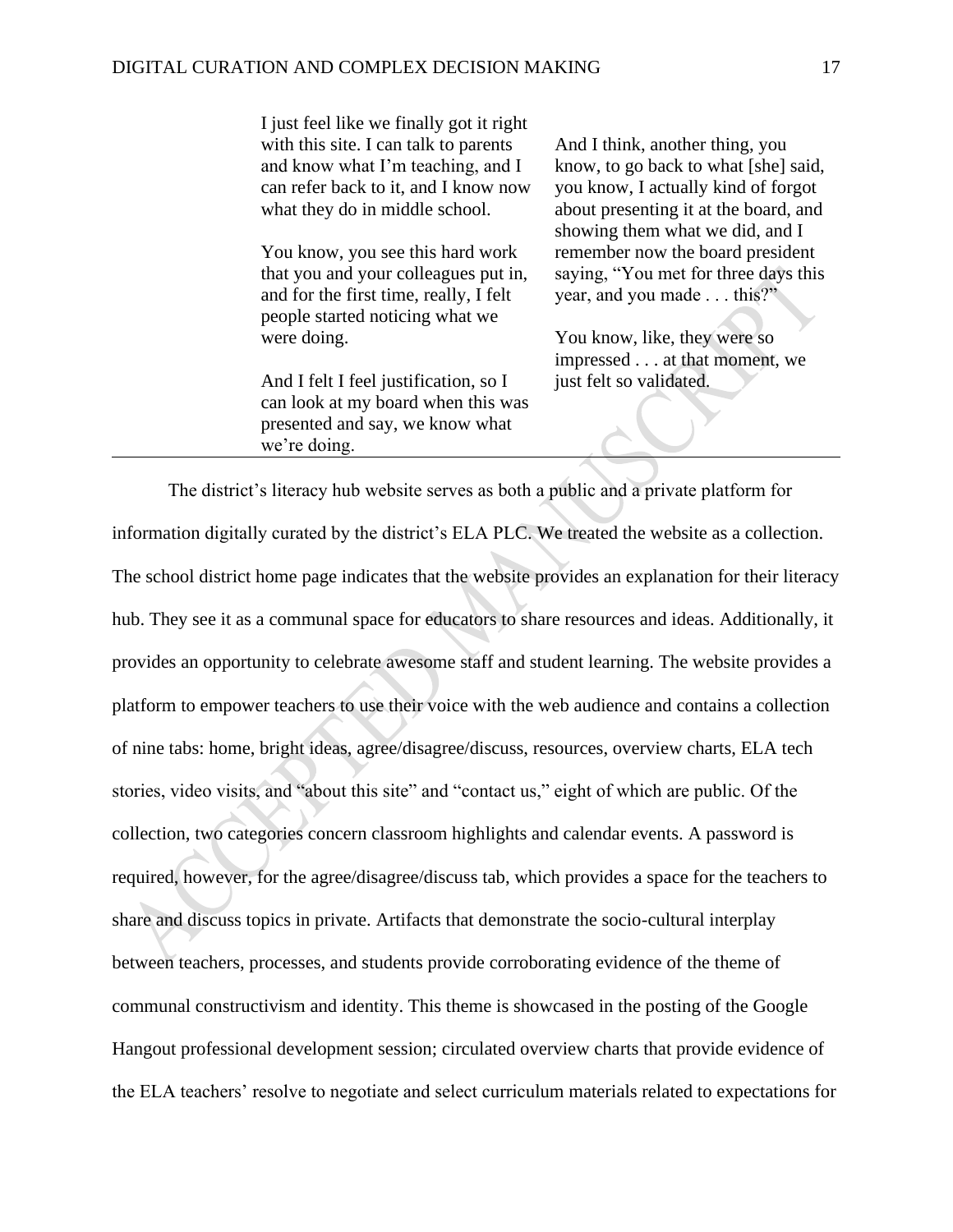I just feel like we finally got it right with this site. I can talk to parents and know what I'm teaching, and I can refer back to it, and I know now what they do in middle school.

You know, you see this hard work that you and your colleagues put in, and for the first time, really, I felt people started noticing what we were doing.

And I felt I feel justification, so I can look at my board when this was presented and say, we know what we're doing.

And I think, another thing, you know, to go back to what [she] said, you know, I actually kind of forgot about presenting it at the board, and showing them what we did, and I remember now the board president saying, "You met for three days this year, and you made . . . this?"

You know, like, they were so impressed . . . at that moment, we just felt so validated.

The district's literacy hub website serves as both a public and a private platform for information digitally curated by the district's ELA PLC. We treated the website as a collection. The school district home page indicates that the website provides an explanation for their literacy hub. They see it as a communal space for educators to share resources and ideas. Additionally, it provides an opportunity to celebrate awesome staff and student learning. The website provides a platform to empower teachers to use their voice with the web audience and contains a collection of nine tabs: home, bright ideas, agree/disagree/discuss, resources, overview charts, ELA tech stories, video visits, and "about this site" and "contact us," eight of which are public. Of the collection, two categories concern classroom highlights and calendar events. A password is required, however, for the agree/disagree/discuss tab, which provides a space for the teachers to share and discuss topics in private. Artifacts that demonstrate the socio-cultural interplay between teachers, processes, and students provide corroborating evidence of the theme of communal constructivism and identity. This theme is showcased in the posting of the Google Hangout professional development session; circulated overview charts that provide evidence of the ELA teachers' resolve to negotiate and select curriculum materials related to expectations for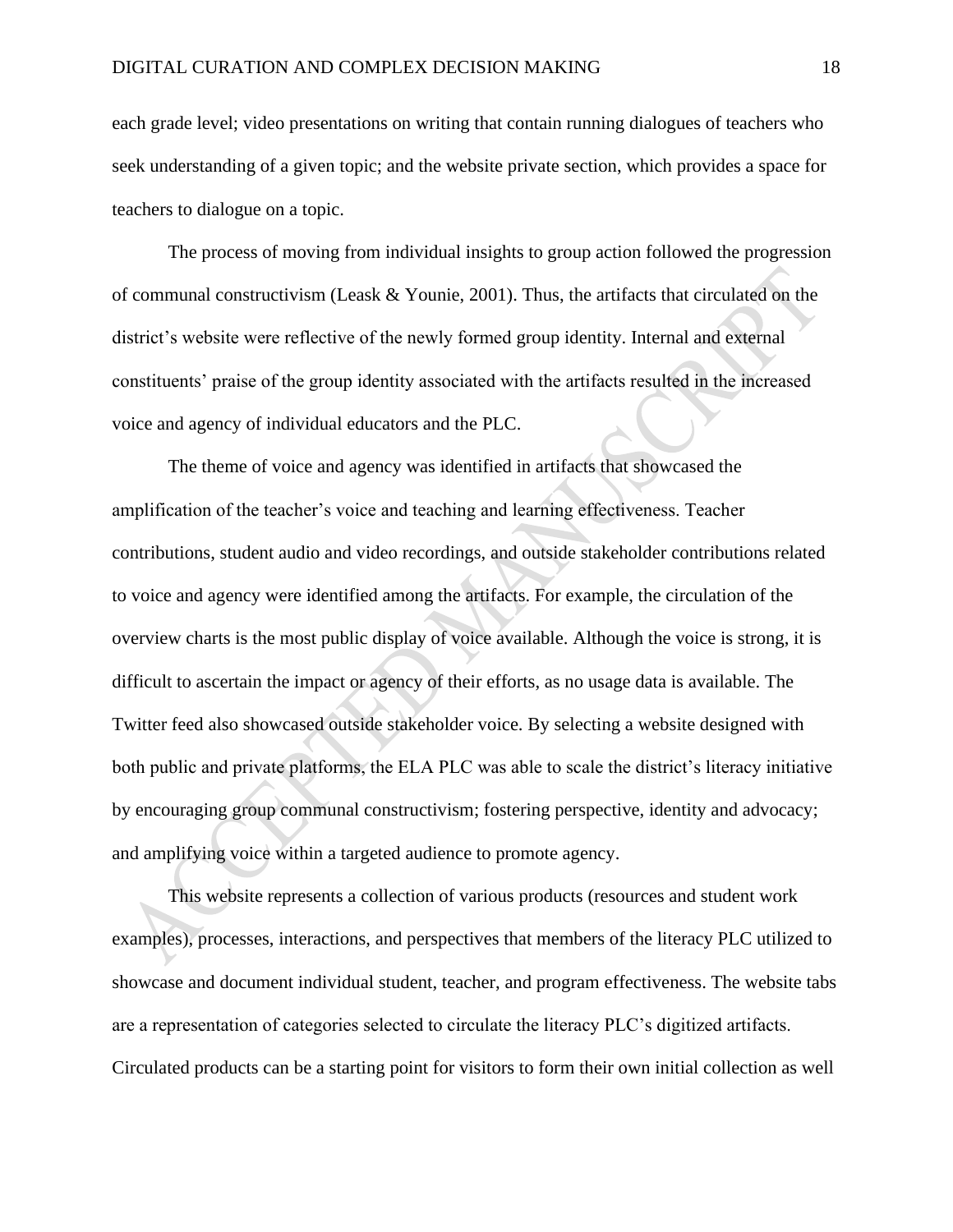each grade level; video presentations on writing that contain running dialogues of teachers who seek understanding of a given topic; and the website private section, which provides a space for teachers to dialogue on a topic.

The process of moving from individual insights to group action followed the progression of communal constructivism (Leask & Younie, 2001). Thus, the artifacts that circulated on the district's website were reflective of the newly formed group identity. Internal and external constituents' praise of the group identity associated with the artifacts resulted in the increased voice and agency of individual educators and the PLC.

The theme of voice and agency was identified in artifacts that showcased the amplification of the teacher's voice and teaching and learning effectiveness. Teacher contributions, student audio and video recordings, and outside stakeholder contributions related to voice and agency were identified among the artifacts. For example, the circulation of the overview charts is the most public display of voice available. Although the voice is strong, it is difficult to ascertain the impact or agency of their efforts, as no usage data is available. The Twitter feed also showcased outside stakeholder voice. By selecting a website designed with both public and private platforms, the ELA PLC was able to scale the district's literacy initiative by encouraging group communal constructivism; fostering perspective, identity and advocacy; and amplifying voice within a targeted audience to promote agency.

This website represents a collection of various products (resources and student work examples), processes, interactions, and perspectives that members of the literacy PLC utilized to showcase and document individual student, teacher, and program effectiveness. The website tabs are a representation of categories selected to circulate the literacy PLC's digitized artifacts. Circulated products can be a starting point for visitors to form their own initial collection as well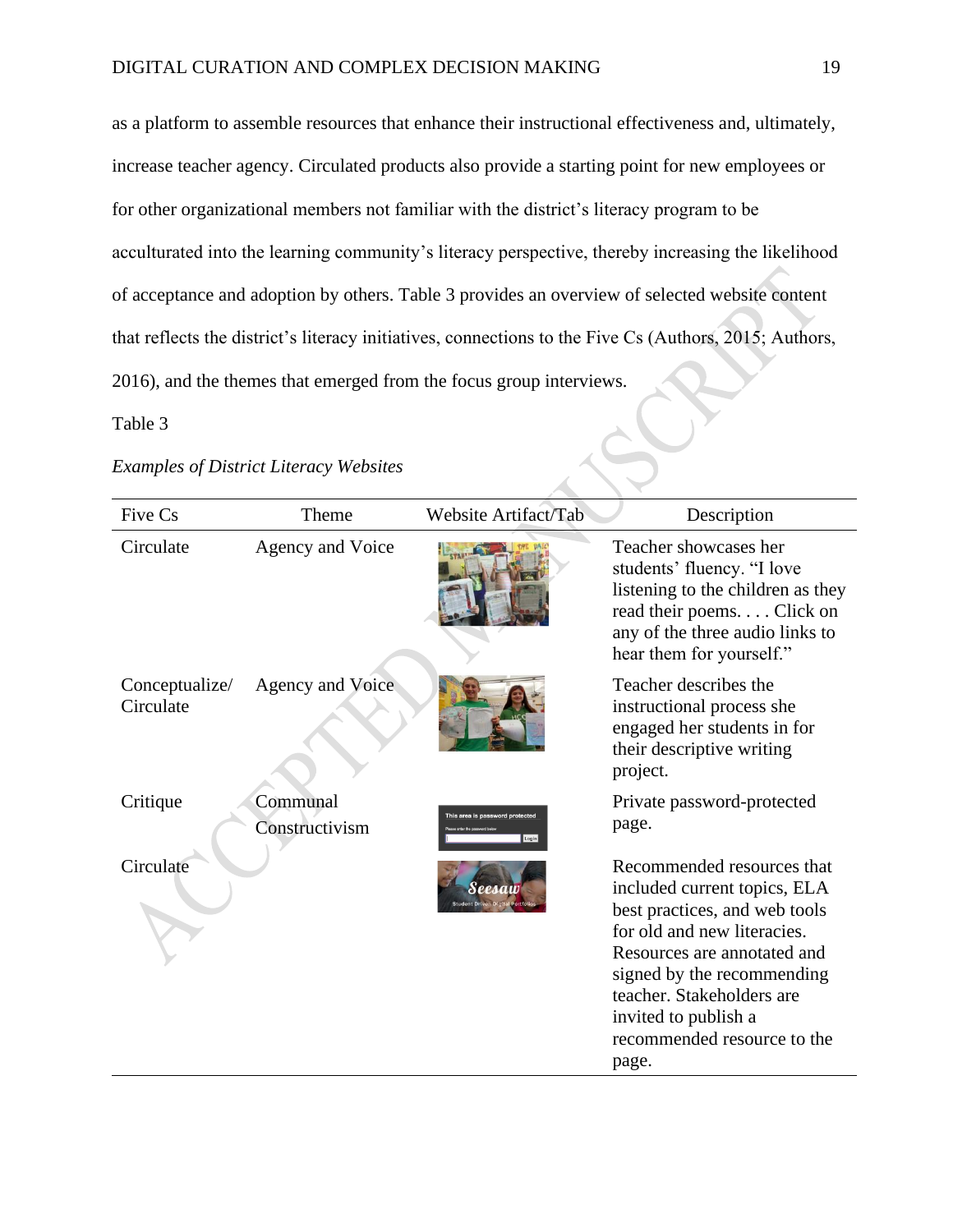as a platform to assemble resources that enhance their instructional effectiveness and, ultimately, increase teacher agency. Circulated products also provide a starting point for new employees or for other organizational members not familiar with the district's literacy program to be acculturated into the learning community's literacy perspective, thereby increasing the likelihood of acceptance and adoption by others. Table 3 provides an overview of selected website content that reflects the district's literacy initiatives, connections to the Five Cs (Authors, 2015; Authors, 2016), and the themes that emerged from the focus group interviews.<br>Table 3<br>Examples of District Literacy Websites

# Table 3

# *Examples of District Literacy Websites*

| Five Cs                     | Theme                      | <b>Website Artifact/Tab</b>              | Description                                                                                                                                                                                                                                                                          |
|-----------------------------|----------------------------|------------------------------------------|--------------------------------------------------------------------------------------------------------------------------------------------------------------------------------------------------------------------------------------------------------------------------------------|
| Circulate                   | Agency and Voice           |                                          | Teacher showcases her<br>students' fluency. "I love<br>listening to the children as they<br>read their poems Click on<br>any of the three audio links to<br>hear them for yourself."                                                                                                 |
| Conceptualize/<br>Circulate | Agency and Voice           |                                          | Teacher describes the<br>instructional process she<br>engaged her students in for<br>their descriptive writing<br>project.                                                                                                                                                           |
| Critique                    | Communal<br>Constructivism | This area is password protected<br>Login | Private password-protected<br>page.                                                                                                                                                                                                                                                  |
| Circulate                   |                            |                                          | Recommended resources that<br>included current topics, ELA<br>best practices, and web tools<br>for old and new literacies.<br>Resources are annotated and<br>signed by the recommending<br>teacher. Stakeholders are<br>invited to publish a<br>recommended resource to the<br>page. |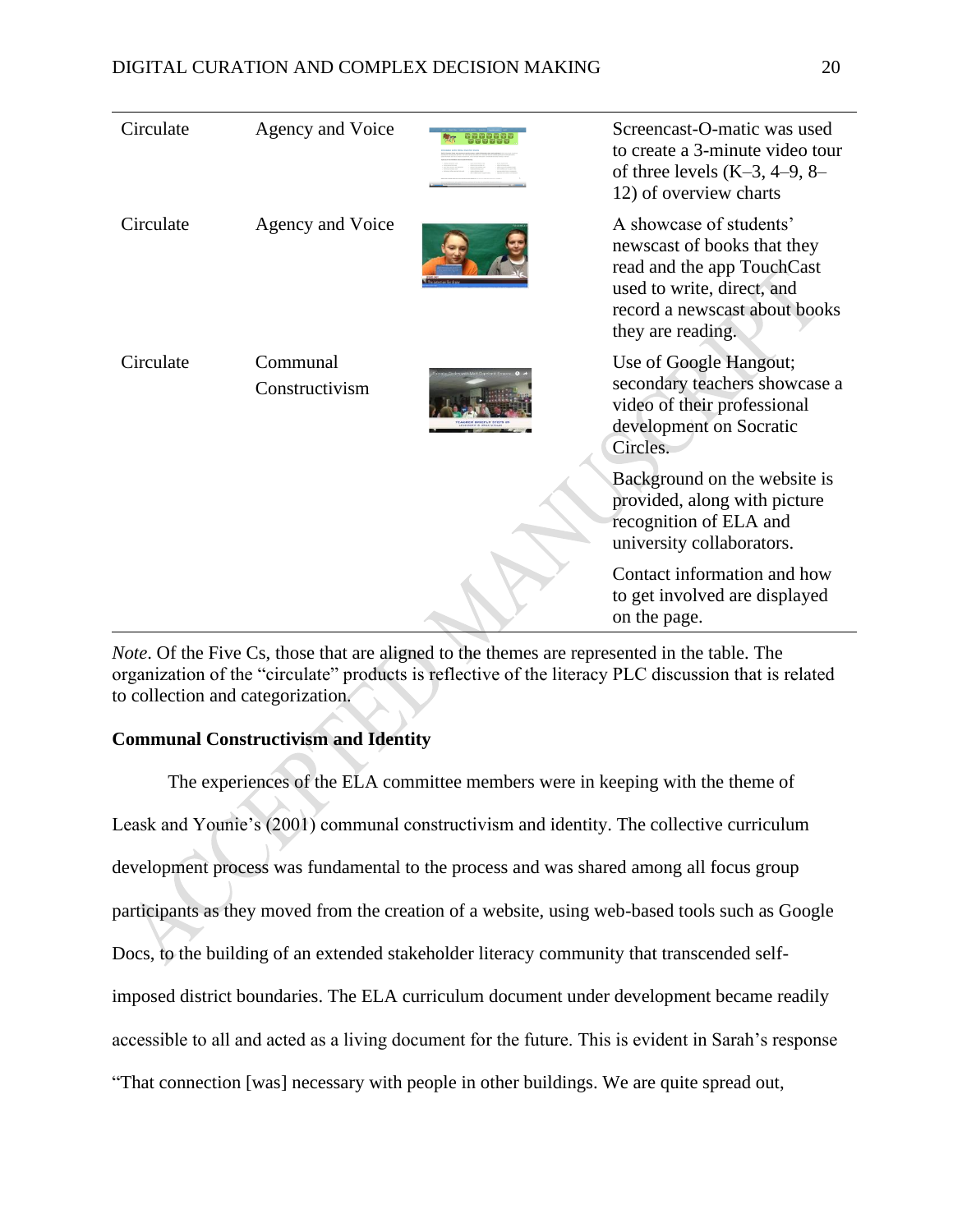| Circulate | Agency and Voice           | Screencast-O-matic was used<br>to create a 3-minute video tour<br>of three levels $(K-3, 4-9, 8-$<br>12) of overview charts                                              |
|-----------|----------------------------|--------------------------------------------------------------------------------------------------------------------------------------------------------------------------|
| Circulate | Agency and Voice           | A showcase of students'<br>newscast of books that they<br>read and the app TouchCast<br>used to write, direct, and<br>record a newscast about books<br>they are reading. |
| Circulate | Communal<br>Constructivism | Use of Google Hangout;<br>secondary teachers showcase a<br>video of their professional<br>development on Socratic<br>Circles.                                            |
|           |                            | Background on the website is<br>provided, along with picture<br>recognition of ELA and<br>university collaborators.                                                      |
|           |                            | Contact information and how<br>to get involved are displayed<br>on the page.                                                                                             |

*Note*. Of the Five Cs, those that are aligned to the themes are represented in the table. The organization of the "circulate" products is reflective of the literacy PLC discussion that is related to collection and categorization.

# **Communal Constructivism and Identity**

The experiences of the ELA committee members were in keeping with the theme of Leask and Younie's (2001) communal constructivism and identity. The collective curriculum development process was fundamental to the process and was shared among all focus group participants as they moved from the creation of a website, using web-based tools such as Google Docs, to the building of an extended stakeholder literacy community that transcended selfimposed district boundaries. The ELA curriculum document under development became readily accessible to all and acted as a living document for the future. This is evident in Sarah's response "That connection [was] necessary with people in other buildings. We are quite spread out,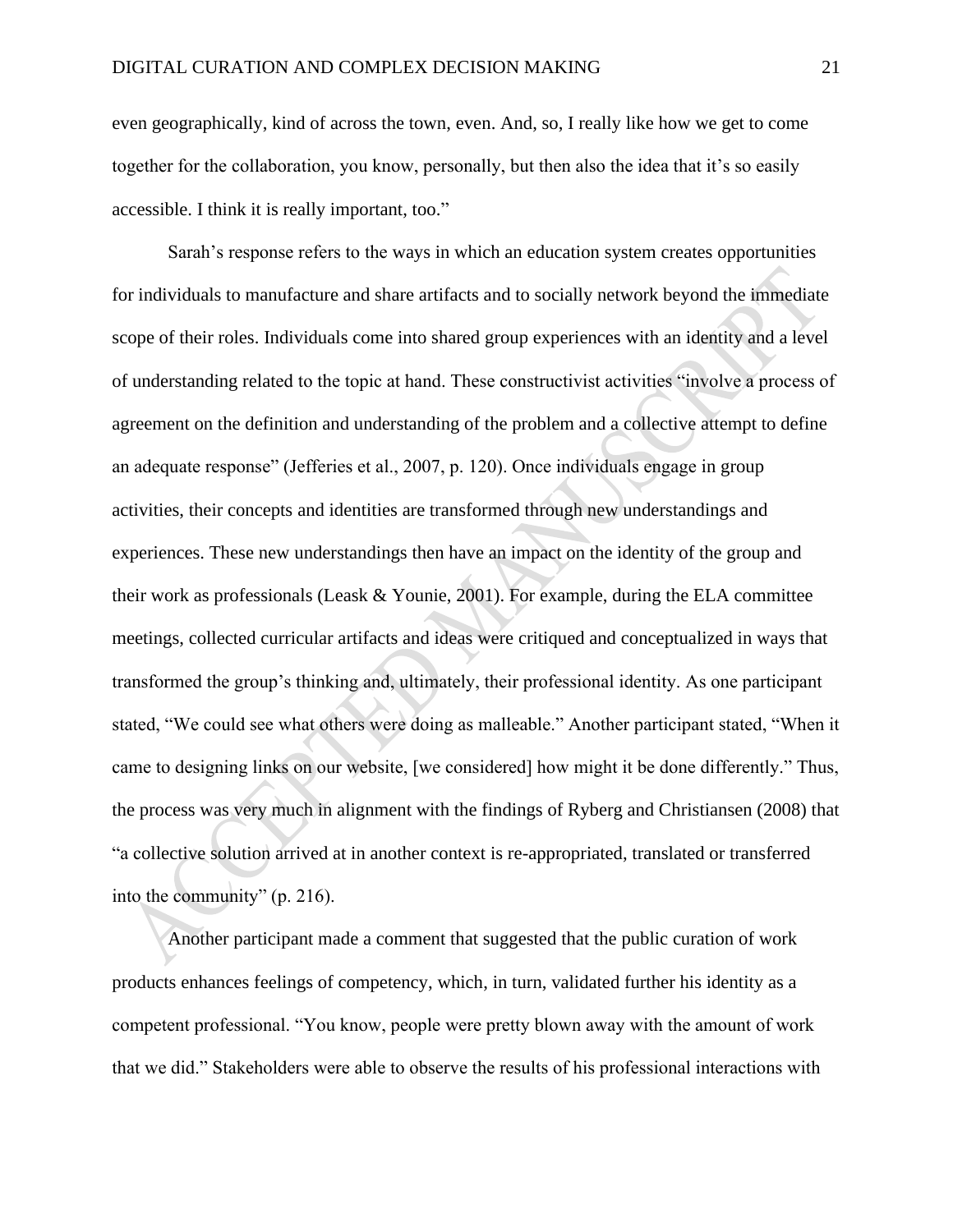even geographically, kind of across the town, even. And, so, I really like how we get to come together for the collaboration, you know, personally, but then also the idea that it's so easily accessible. I think it is really important, too."

Sarah's response refers to the ways in which an education system creates opportunities for individuals to manufacture and share artifacts and to socially network beyond the immediate scope of their roles. Individuals come into shared group experiences with an identity and a level of understanding related to the topic at hand. These constructivist activities "involve a process of agreement on the definition and understanding of the problem and a collective attempt to define an adequate response" (Jefferies et al., 2007, p. 120). Once individuals engage in group activities, their concepts and identities are transformed through new understandings and experiences. These new understandings then have an impact on the identity of the group and their work as professionals (Leask & Younie, 2001). For example, during the ELA committee meetings, collected curricular artifacts and ideas were critiqued and conceptualized in ways that transformed the group's thinking and, ultimately, their professional identity. As one participant stated, "We could see what others were doing as malleable." Another participant stated, "When it came to designing links on our website, [we considered] how might it be done differently." Thus, the process was very much in alignment with the findings of Ryberg and Christiansen (2008) that "a collective solution arrived at in another context is re-appropriated, translated or transferred into the community" (p. 216).

Another participant made a comment that suggested that the public curation of work products enhances feelings of competency, which, in turn, validated further his identity as a competent professional. "You know, people were pretty blown away with the amount of work that we did." Stakeholders were able to observe the results of his professional interactions with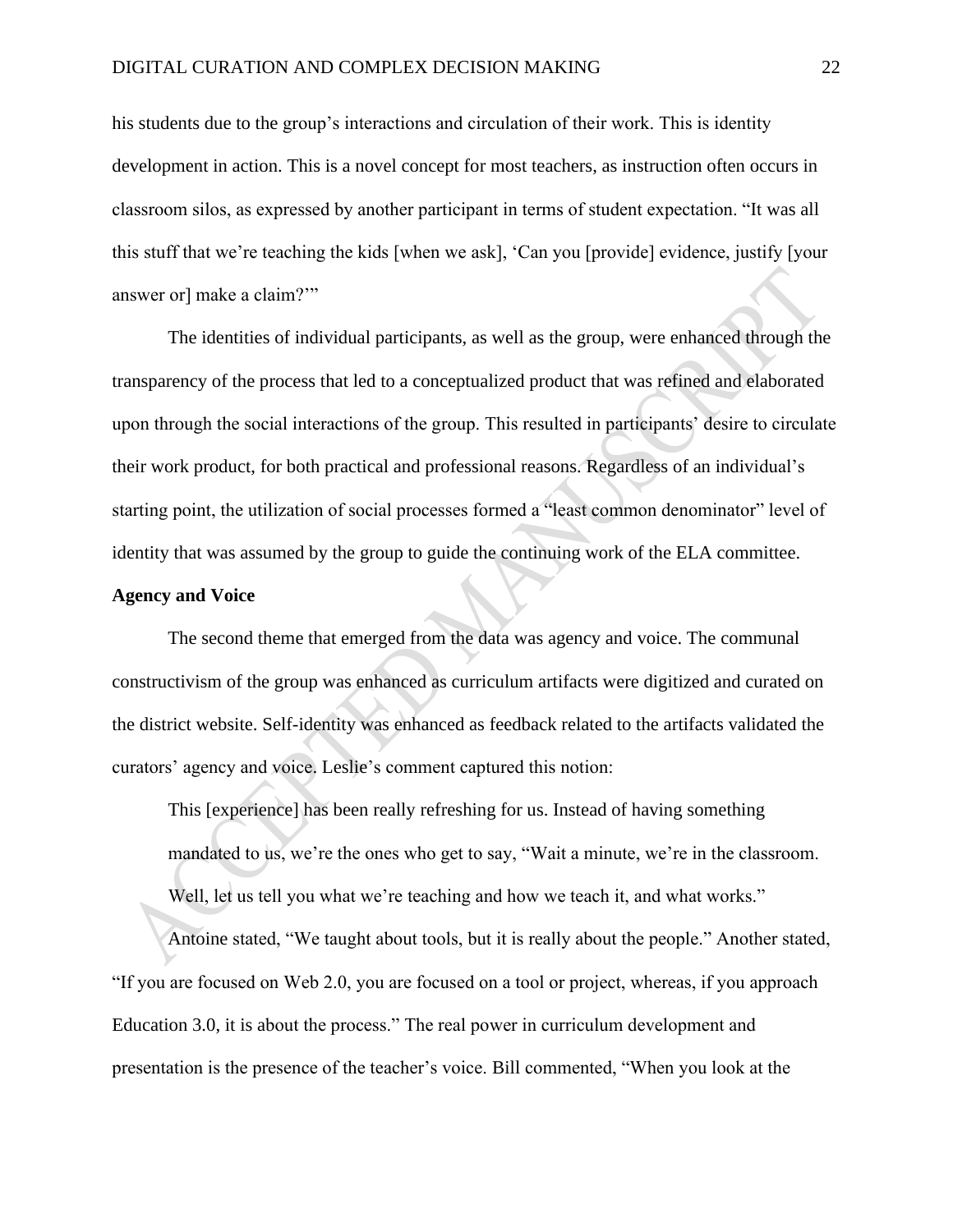his students due to the group's interactions and circulation of their work. This is identity development in action. This is a novel concept for most teachers, as instruction often occurs in classroom silos, as expressed by another participant in terms of student expectation. "It was all this stuff that we're teaching the kids [when we ask], 'Can you [provide] evidence, justify [your answer or] make a claim?'"

The identities of individual participants, as well as the group, were enhanced through the transparency of the process that led to a conceptualized product that was refined and elaborated upon through the social interactions of the group. This resulted in participants' desire to circulate their work product, for both practical and professional reasons. Regardless of an individual's starting point, the utilization of social processes formed a "least common denominator" level of identity that was assumed by the group to guide the continuing work of the ELA committee.

#### **Agency and Voice**

The second theme that emerged from the data was agency and voice. The communal constructivism of the group was enhanced as curriculum artifacts were digitized and curated on the district website. Self-identity was enhanced as feedback related to the artifacts validated the curators' agency and voice. Leslie's comment captured this notion:

This [experience] has been really refreshing for us. Instead of having something mandated to us, we're the ones who get to say, "Wait a minute, we're in the classroom. Well, let us tell you what we're teaching and how we teach it, and what works."

Antoine stated, "We taught about tools, but it is really about the people." Another stated, "If you are focused on Web 2.0, you are focused on a tool or project, whereas, if you approach Education 3.0, it is about the process." The real power in curriculum development and presentation is the presence of the teacher's voice. Bill commented, "When you look at the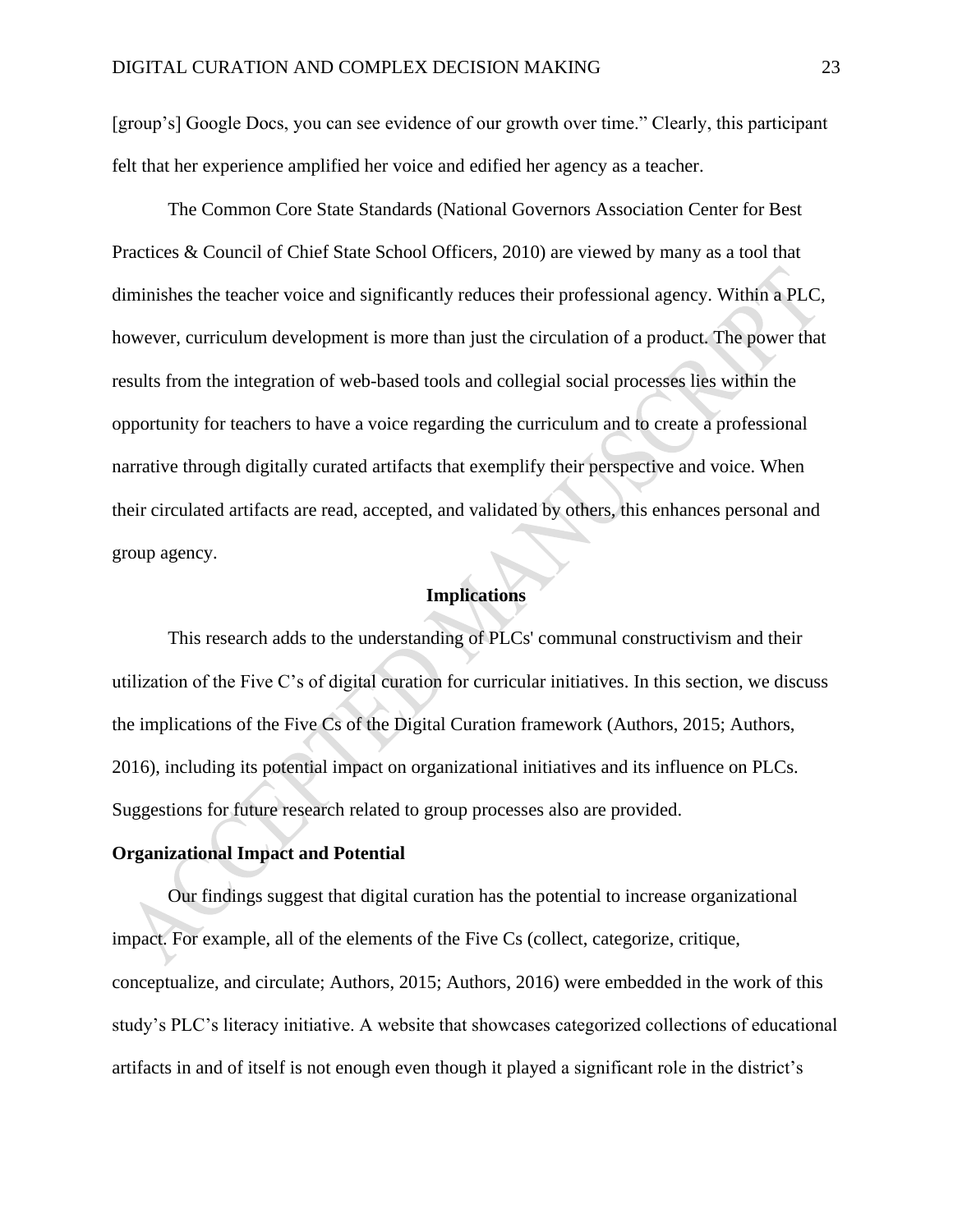[group's] Google Docs, you can see evidence of our growth over time." Clearly, this participant felt that her experience amplified her voice and edified her agency as a teacher.

The Common Core State Standards (National Governors Association Center for Best Practices & Council of Chief State School Officers, 2010) are viewed by many as a tool that diminishes the teacher voice and significantly reduces their professional agency. Within a PLC, however, curriculum development is more than just the circulation of a product. The power that results from the integration of web-based tools and collegial social processes lies within the opportunity for teachers to have a voice regarding the curriculum and to create a professional narrative through digitally curated artifacts that exemplify their perspective and voice. When their circulated artifacts are read, accepted, and validated by others, this enhances personal and group agency.

# **Implications**

This research adds to the understanding of PLCs' communal constructivism and their utilization of the Five C's of digital curation for curricular initiatives. In this section, we discuss the implications of the Five Cs of the Digital Curation framework (Authors, 2015; Authors, 2016), including its potential impact on organizational initiatives and its influence on PLCs. Suggestions for future research related to group processes also are provided.

#### **Organizational Impact and Potential**

Our findings suggest that digital curation has the potential to increase organizational impact. For example, all of the elements of the Five Cs (collect, categorize, critique, conceptualize, and circulate; Authors, 2015; Authors, 2016) were embedded in the work of this study's PLC's literacy initiative. A website that showcases categorized collections of educational artifacts in and of itself is not enough even though it played a significant role in the district's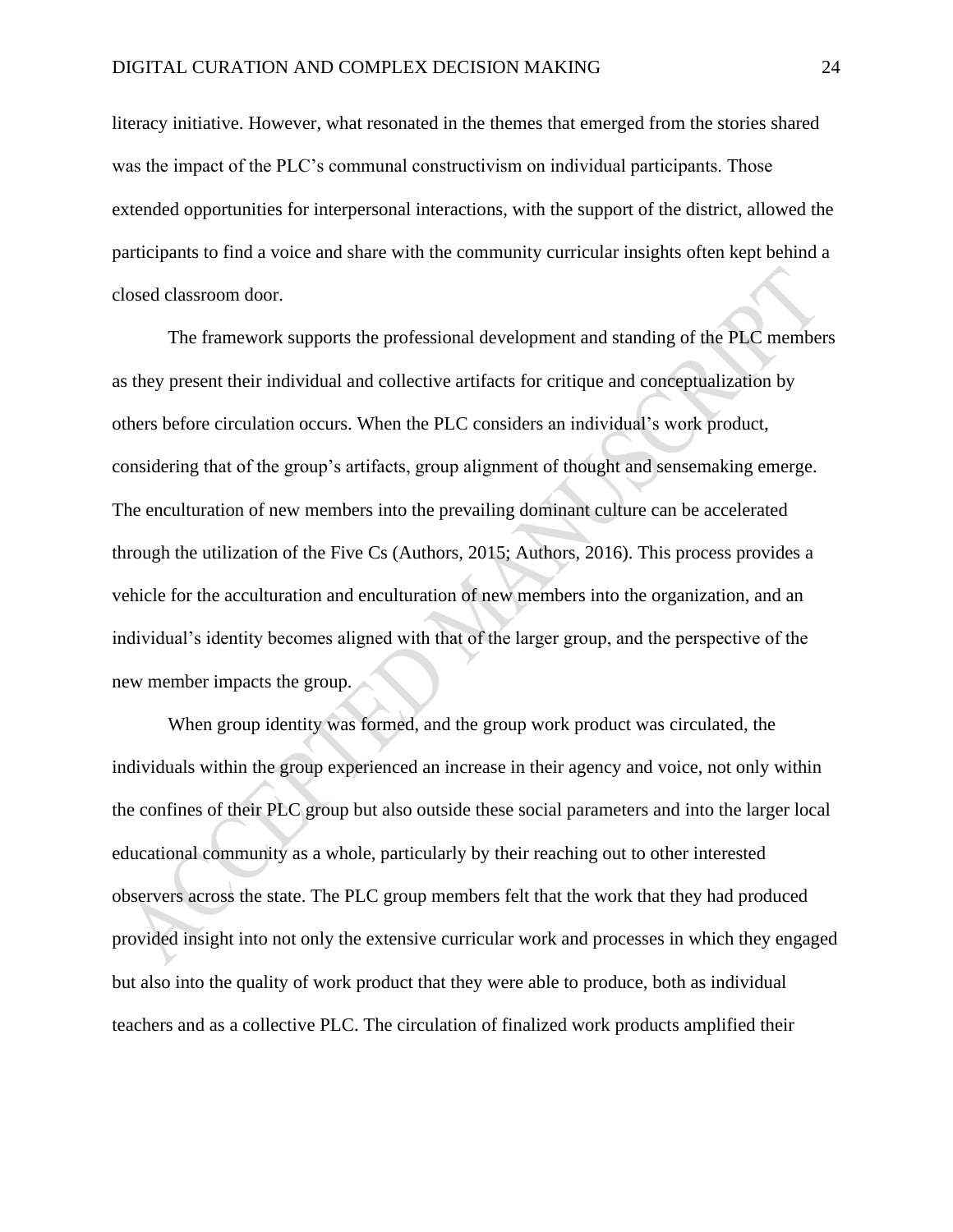literacy initiative. However, what resonated in the themes that emerged from the stories shared was the impact of the PLC's communal constructivism on individual participants. Those extended opportunities for interpersonal interactions, with the support of the district, allowed the participants to find a voice and share with the community curricular insights often kept behind a closed classroom door.

The framework supports the professional development and standing of the PLC members as they present their individual and collective artifacts for critique and conceptualization by others before circulation occurs. When the PLC considers an individual's work product, considering that of the group's artifacts, group alignment of thought and sensemaking emerge. The enculturation of new members into the prevailing dominant culture can be accelerated through the utilization of the Five Cs (Authors, 2015; Authors, 2016). This process provides a vehicle for the acculturation and enculturation of new members into the organization, and an individual's identity becomes aligned with that of the larger group, and the perspective of the new member impacts the group.

When group identity was formed, and the group work product was circulated, the individuals within the group experienced an increase in their agency and voice, not only within the confines of their PLC group but also outside these social parameters and into the larger local educational community as a whole, particularly by their reaching out to other interested observers across the state. The PLC group members felt that the work that they had produced provided insight into not only the extensive curricular work and processes in which they engaged but also into the quality of work product that they were able to produce, both as individual teachers and as a collective PLC. The circulation of finalized work products amplified their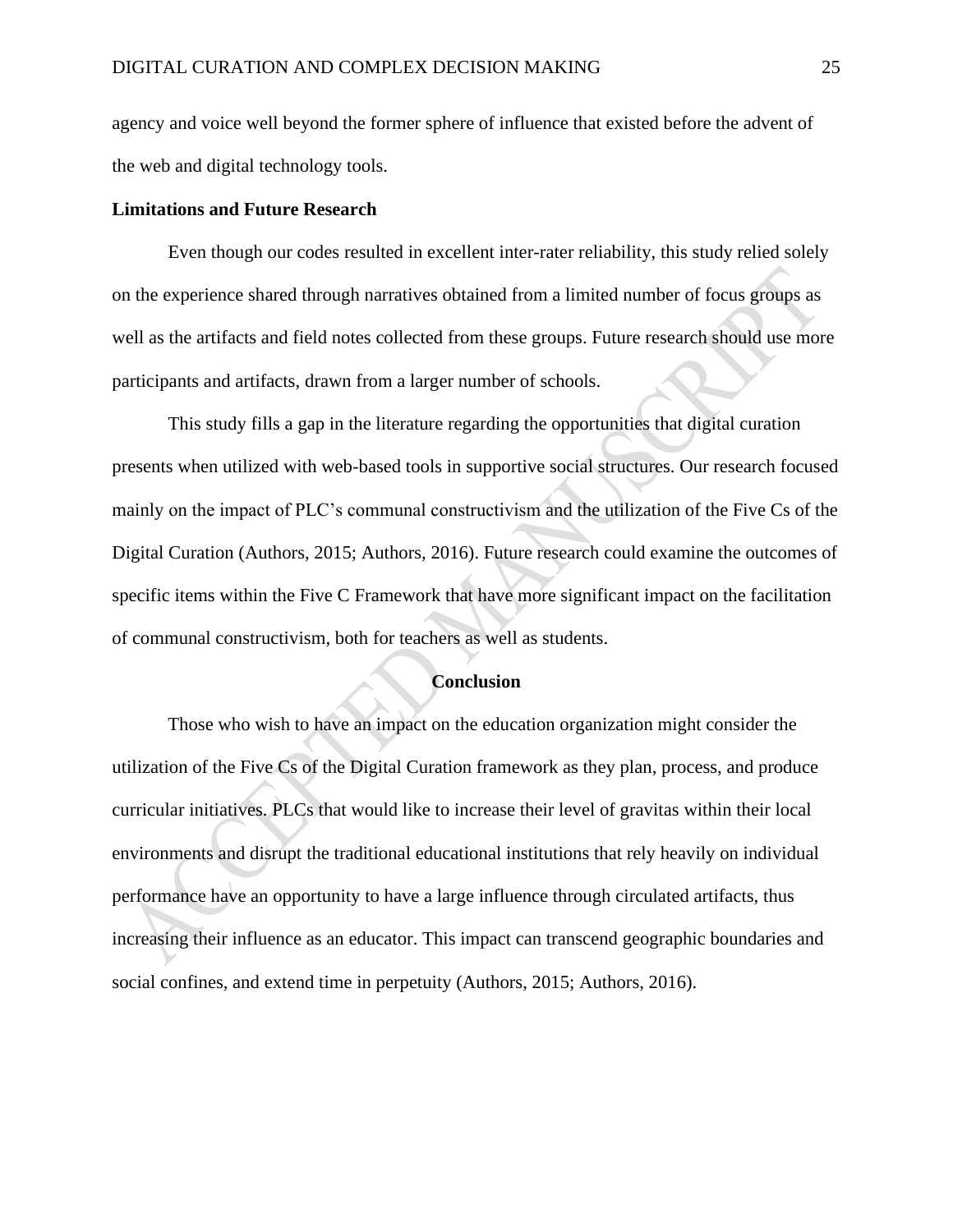agency and voice well beyond the former sphere of influence that existed before the advent of the web and digital technology tools.

#### **Limitations and Future Research**

Even though our codes resulted in excellent inter-rater reliability, this study relied solely on the experience shared through narratives obtained from a limited number of focus groups as well as the artifacts and field notes collected from these groups. Future research should use more participants and artifacts, drawn from a larger number of schools.

This study fills a gap in the literature regarding the opportunities that digital curation presents when utilized with web-based tools in supportive social structures. Our research focused mainly on the impact of PLC's communal constructivism and the utilization of the Five Cs of the Digital Curation (Authors, 2015; Authors, 2016). Future research could examine the outcomes of specific items within the Five C Framework that have more significant impact on the facilitation of communal constructivism, both for teachers as well as students.

#### **Conclusion**

Those who wish to have an impact on the education organization might consider the utilization of the Five Cs of the Digital Curation framework as they plan, process, and produce curricular initiatives. PLCs that would like to increase their level of gravitas within their local environments and disrupt the traditional educational institutions that rely heavily on individual performance have an opportunity to have a large influence through circulated artifacts, thus increasing their influence as an educator. This impact can transcend geographic boundaries and social confines, and extend time in perpetuity (Authors, 2015; Authors, 2016).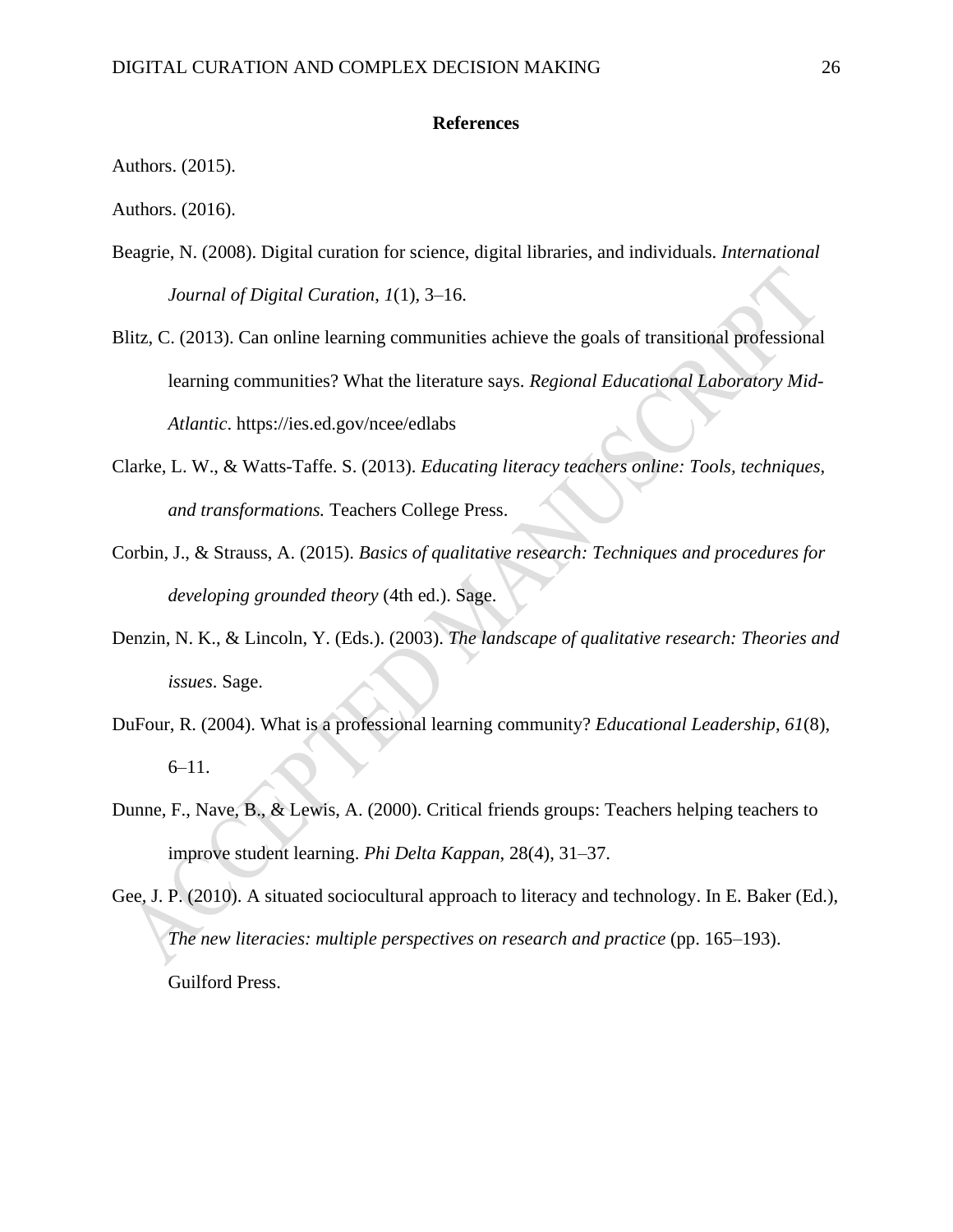#### **References**

Authors. (2015).

Authors. (2016).

- Beagrie, N. (2008). Digital curation for science, digital libraries, and individuals. *International Journal of Digital Curation*, *1*(1), 3–16.
- Blitz, C. (2013). Can online learning communities achieve the goals of transitional professional learning communities? What the literature says. *Regional Educational Laboratory Mid-Atlantic*. <https://ies.ed.gov/ncee/edlabs>
- Clarke, L. W., & Watts-Taffe. S. (2013). *Educating literacy teachers online: Tools, techniques, and transformations.* Teachers College Press.
- Corbin, J., & Strauss, A. (2015). *Basics of qualitative research: Techniques and procedures for developing grounded theory* (4th ed.). Sage.
- Denzin, N. K., & Lincoln, Y. (Eds.). (2003). *The landscape of qualitative research: Theories and issues*. Sage.
- DuFour, R. (2004). What is a professional learning community? *Educational Leadership*, *61*(8), 6–11.
- Dunne, F., Nave, B., & Lewis, A. (2000). Critical friends groups: Teachers helping teachers to improve student learning. *Phi Delta Kappan*, 28(4), 31–37.

Gee, J. P. (2010). A situated sociocultural approach to literacy and technology. In E. Baker (Ed.), *The new literacies: multiple perspectives on research and practice* (pp. 165–193). Guilford Press.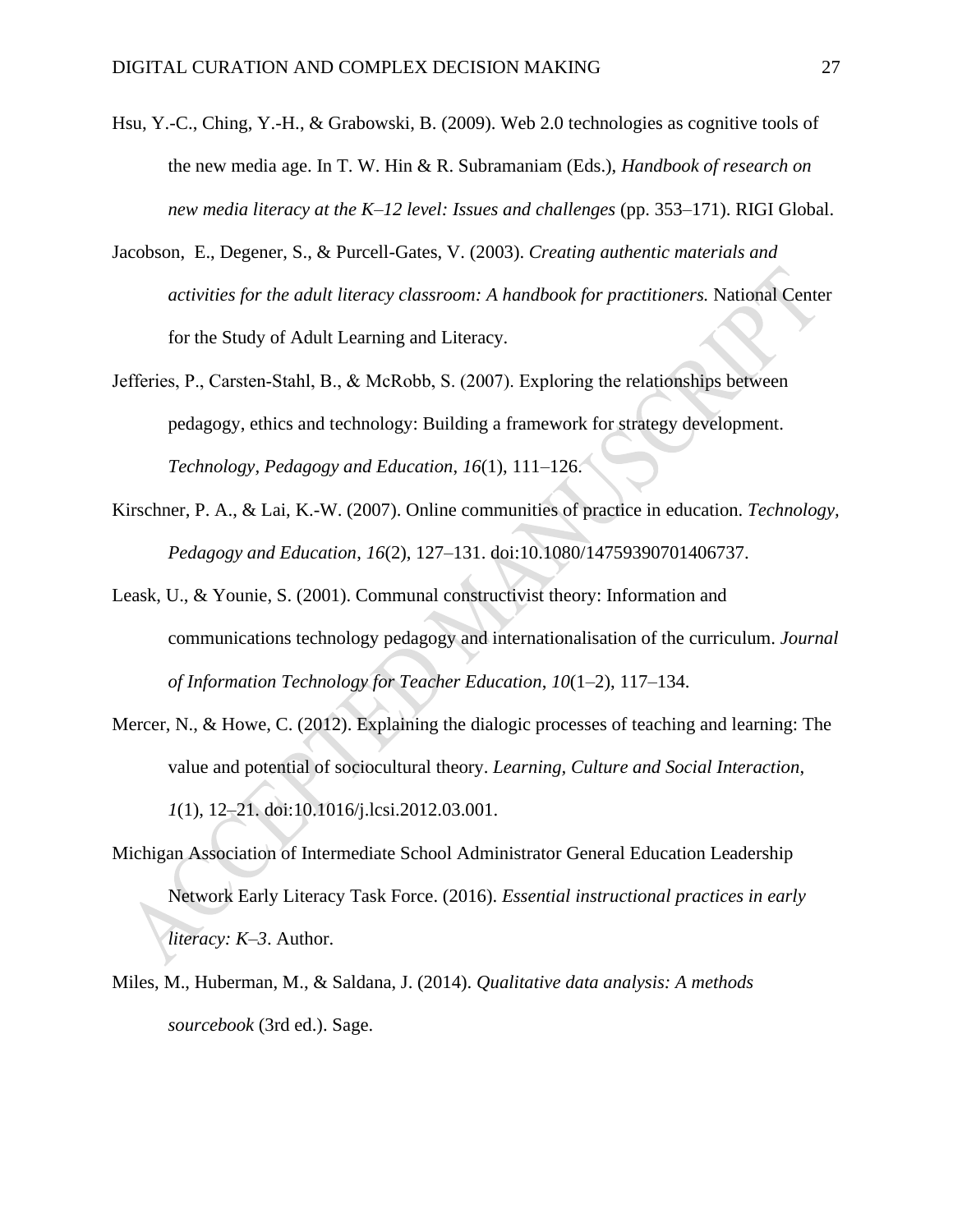- Hsu, Y.-C., Ching, Y.-H., & Grabowski, B. (2009). Web 2.0 technologies as cognitive tools of the new media age. In T. W. Hin & R. Subramaniam (Eds.), *Handbook of research on new media literacy at the K–12 level: Issues and challenges* (pp. 353–171). RIGI Global.
- Jacobson, E., Degener, S., & Purcell-Gates, V. (2003). *Creating authentic materials and activities for the adult literacy classroom: A handbook for practitioners.* National Center for the Study of Adult Learning and Literacy.
- Jefferies, P., Carsten‐Stahl, B., & McRobb, S. (2007). Exploring the relationships between pedagogy, ethics and technology: Building a framework for strategy development. *Technology, Pedagogy and Education*, *16*(1), 111–126.
- Kirschner, P. A., & Lai, K.-W. (2007). Online communities of practice in education. *Technology, Pedagogy and Education*, *16*(2), 127–131. doi:10.1080/14759390701406737.
- Leask, U., & Younie, S. (2001). Communal constructivist theory: Information and communications technology pedagogy and internationalisation of the curriculum. *Journal of Information Technology for Teacher Education*, *10*(1–2), 117–134.
- Mercer, N., & Howe, C. (2012). Explaining the dialogic processes of teaching and learning: The value and potential of sociocultural theory. *Learning, Culture and Social Interaction*, *1*(1), 12–21. doi:10.1016/j.lcsi.2012.03.001.
- Michigan Association of Intermediate School Administrator General Education Leadership Network Early Literacy Task Force. (2016). *Essential instructional practices in early literacy: K–3*. Author.
- Miles, M., Huberman, M., & Saldana, J. (2014). *Qualitative data analysis: A methods sourcebook* (3rd ed.). Sage.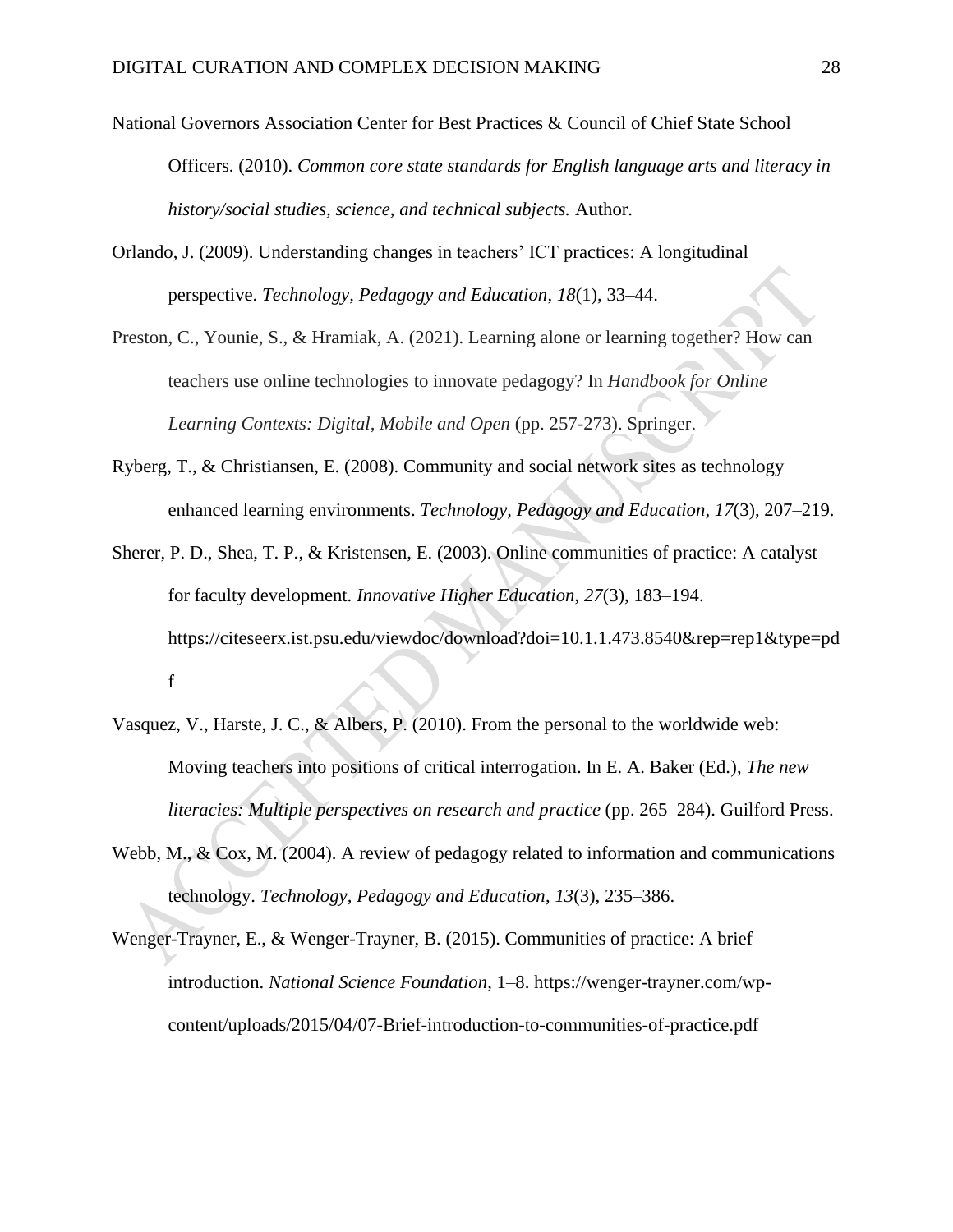- National Governors Association Center for Best Practices & Council of Chief State School Officers. (2010). *Common core state standards for English language arts and literacy in history/social studies, science, and technical subjects.* Author.
- Orlando, J. (2009). Understanding changes in teachers' ICT practices: A longitudinal perspective. *Technology, Pedagogy and Education*, *18*(1), 33–44.
- Preston, C., Younie, S., & Hramiak, A. (2021). Learning alone or learning together? How can teachers use online technologies to innovate pedagogy? In *Handbook for Online Learning Contexts: Digital, Mobile and Open* (pp. 257-273). Springer.
- Ryberg, T., & Christiansen, E. (2008). Community and social network sites as technology enhanced learning environments. *Technology, Pedagogy and Education*, *17*(3), 207–219.
- Sherer, P. D., Shea, T. P., & Kristensen, E. (2003). Online communities of practice: A catalyst for faculty development. *Innovative Higher Education*, *27*(3), 183–194. [https://citeseerx.ist.psu.edu/viewdoc/download?doi=10.1.1.473.8540&rep=rep1&type=pd](https://citeseerx.ist.psu.edu/viewdoc/download?doi=10.1.1.473.8540&rep=rep1&type=pdf) [f](https://citeseerx.ist.psu.edu/viewdoc/download?doi=10.1.1.473.8540&rep=rep1&type=pdf)
- Vasquez, V., Harste, J. C., & Albers, P. (2010). From the personal to the worldwide web: Moving teachers into positions of critical interrogation. In E. A. Baker (Ed.), *The new literacies: Multiple perspectives on research and practice* (pp. 265–284). Guilford Press.
- Webb, M., & Cox, M. (2004). A review of pedagogy related to information and communications technology. *Technology, Pedagogy and Education*, *13*(3), 235–386.
- Wenger-Trayner, E., & Wenger-Trayner, B. (2015). Communities of practice: A brief introduction. *National Science Foundation*, 1–8. [https://wenger-trayner.com/wp](https://wenger-trayner.com/wp-content/uploads/2015/04/07-Brief-introduction-to-communities-of-practice.pdf)[content/uploads/2015/04/07-Brief-introduction-to-communities-of-practice.pdf](https://wenger-trayner.com/wp-content/uploads/2015/04/07-Brief-introduction-to-communities-of-practice.pdf)